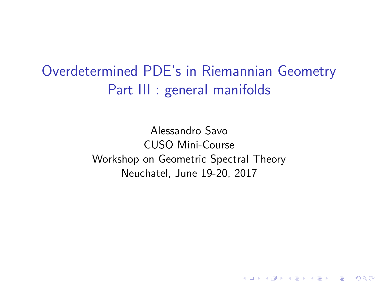Overdetermined PDE's in Riemannian Geometry Part III : general manifolds

> Alessandro Savo CUSO Mini-Course Workshop on Geometric Spectral Theory Neuchatel, June 19-20, 2017

> > **KORKA SERKER ORA**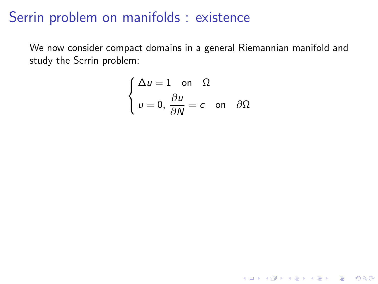We now consider compact domains in a general Riemannian manifold and study the Serrin problem:

$$
\begin{cases} \Delta u = 1 \quad \text{on} \quad \Omega \\ u = 0, \frac{\partial u}{\partial N} = c \quad \text{on} \quad \partial \Omega \end{cases}
$$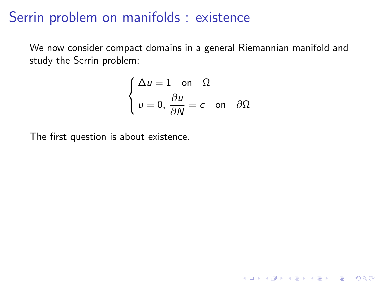We now consider compact domains in a general Riemannian manifold and study the Serrin problem:

$$
\begin{cases} \Delta u = 1 \quad \text{on} \quad \Omega \\ u = 0, \frac{\partial u}{\partial N} = c \quad \text{on} \quad \partial \Omega \end{cases}
$$

K ロ ▶ K @ ▶ K 할 ▶ K 할 ▶ | 할 | © 9 Q @

The first question is about existence.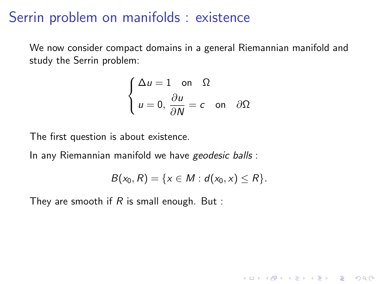We now consider compact domains in a general Riemannian manifold and study the Serrin problem:

$$
\begin{cases} \Delta u = 1 \quad \text{on} \quad \Omega \\ u = 0, \frac{\partial u}{\partial N} = c \quad \text{on} \quad \partial \Omega \end{cases}
$$

The first question is about existence.

In any Riemannian manifold we have geodesic balls :

$$
B(x_0, R) = \{x \in M : d(x_0, x) \le R\}.
$$

K ロ ▶ K @ ▶ K 할 > K 할 > 1 할 > 1 이익어

They are smooth if  $R$  is small enough. But :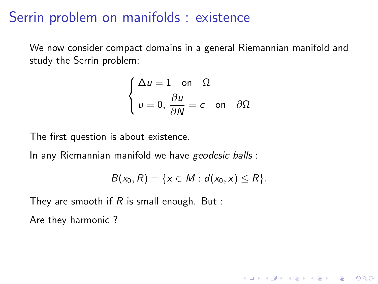We now consider compact domains in a general Riemannian manifold and study the Serrin problem:

$$
\begin{cases} \Delta u = 1 \quad \text{on} \quad \Omega \\ u = 0, \frac{\partial u}{\partial N} = c \quad \text{on} \quad \partial \Omega \end{cases}
$$

The first question is about existence.

In any Riemannian manifold we have geodesic balls :

$$
B(x_0, R) = \{x \in M : d(x_0, x) \le R\}.
$$

**KORK ERKER ADE YOUR** 

They are smooth if  $R$  is small enough. But :

Are they harmonic ?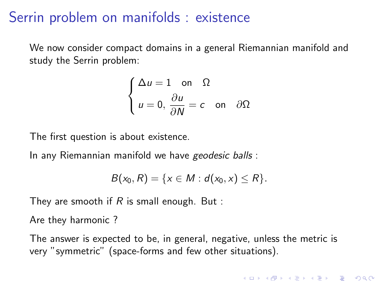We now consider compact domains in a general Riemannian manifold and study the Serrin problem:

$$
\begin{cases} \Delta u = 1 \quad \text{on} \quad \Omega \\ u = 0, \frac{\partial u}{\partial N} = c \quad \text{on} \quad \partial \Omega \end{cases}
$$

The first question is about existence.

In any Riemannian manifold we have geodesic balls :

$$
B(x_0, R) = \{x \in M : d(x_0, x) \le R\}.
$$

They are smooth if  $R$  is small enough. But :

Are they harmonic ?

The answer is expected to be, in general, negative, unless the metric is very "symmetric" (space-forms and few other situations).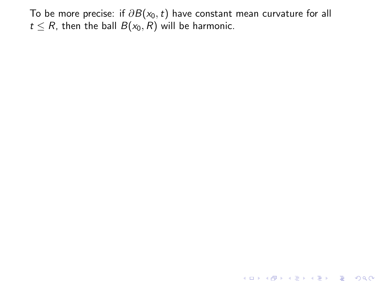K ロ ▶ K @ ▶ K 할 ▶ K 할 ▶ | 할 | ⊙Q @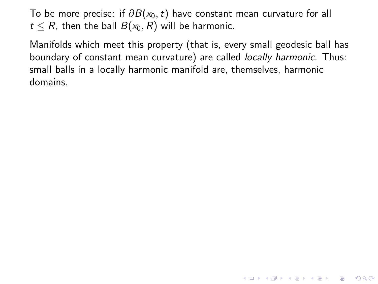Manifolds which meet this property (that is, every small geodesic ball has boundary of constant mean curvature) are called locally harmonic. Thus: small balls in a locally harmonic manifold are, themselves, harmonic domains.

**K ロ ▶ K @ ▶ K 할 X X 할 X → 할 X → 9 Q Q ^**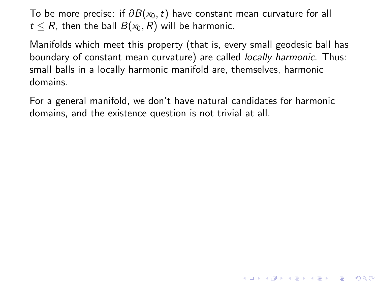Manifolds which meet this property (that is, every small geodesic ball has boundary of constant mean curvature) are called locally harmonic. Thus: small balls in a locally harmonic manifold are, themselves, harmonic domains.

For a general manifold, we don't have natural candidates for harmonic domains, and the existence question is not trivial at all.

**K ロ ▶ K @ ▶ K 할 X X 할 X → 할 X → 9 Q Q ^**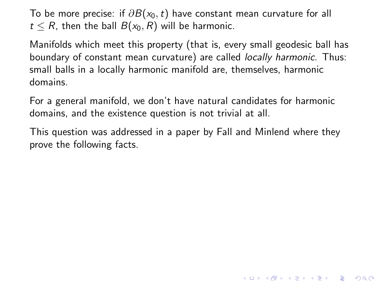Manifolds which meet this property (that is, every small geodesic ball has boundary of constant mean curvature) are called locally harmonic. Thus: small balls in a locally harmonic manifold are, themselves, harmonic domains.

For a general manifold, we don't have natural candidates for harmonic domains, and the existence question is not trivial at all.

This question was addressed in a paper by Fall and Minlend where they prove the following facts.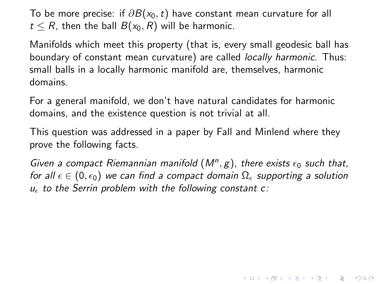Manifolds which meet this property (that is, every small geodesic ball has boundary of constant mean curvature) are called locally harmonic. Thus: small balls in a locally harmonic manifold are, themselves, harmonic domains.

For a general manifold, we don't have natural candidates for harmonic domains, and the existence question is not trivial at all.

This question was addressed in a paper by Fall and Minlend where they prove the following facts.

Given a compact Riemannian manifold  $(M^n, g)$ , there exists  $\epsilon_0$  such that, for all  $\epsilon \in (0, \epsilon_0)$  we can find a compact domain  $\Omega_{\epsilon}$  supporting a solution  $u_{\epsilon}$  to the Serrin problem with the following constant c: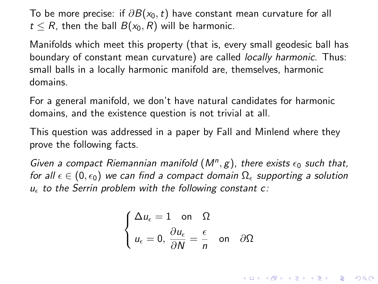Manifolds which meet this property (that is, every small geodesic ball has boundary of constant mean curvature) are called locally harmonic. Thus: small balls in a locally harmonic manifold are, themselves, harmonic domains.

For a general manifold, we don't have natural candidates for harmonic domains, and the existence question is not trivial at all.

This question was addressed in a paper by Fall and Minlend where they prove the following facts.

Given a compact Riemannian manifold  $(M^n, g)$ , there exists  $\epsilon_0$  such that, for all  $\epsilon \in (0, \epsilon_0)$  we can find a compact domain  $\Omega_{\epsilon}$  supporting a solution  $u_{\epsilon}$  to the Serrin problem with the following constant c:

$$
\begin{cases} \Delta u_{\epsilon} = 1 \quad \text{on} \quad \Omega\\ u_{\epsilon} = 0, \ \frac{\partial u_{\epsilon}}{\partial N} = \frac{\epsilon}{n} \quad \text{on} \quad \partial \Omega \end{cases}
$$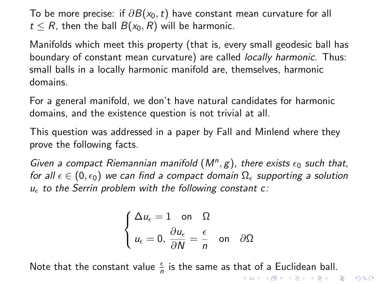Manifolds which meet this property (that is, every small geodesic ball has boundary of constant mean curvature) are called locally harmonic. Thus: small balls in a locally harmonic manifold are, themselves, harmonic domains.

For a general manifold, we don't have natural candidates for harmonic domains, and the existence question is not trivial at all.

This question was addressed in a paper by Fall and Minlend where they prove the following facts.

Given a compact Riemannian manifold  $(M^n, g)$ , there exists  $\epsilon_0$  such that, for all  $\epsilon \in (0, \epsilon_0)$  we can find a compact domain  $\Omega_{\epsilon}$  supporting a solution  $u_{\epsilon}$  to the Serrin problem with the following constant c:

$$
\begin{cases} \Delta u_{\epsilon} = 1 \quad \text{on} \quad \Omega \\ u_{\epsilon} = 0, \frac{\partial u_{\epsilon}}{\partial N} = \frac{\epsilon}{n} \quad \text{on} \quad \partial \Omega \end{cases}
$$

Note that the constant value  $\frac{\epsilon}{n}$  is the same as that of a Euclidean ball. **K ロ ▶ K @ ▶ K 할 X X 할 X → 할 X → 9 Q Q ^**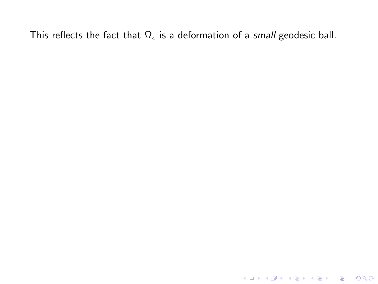K ロ X K 메 X K B X X B X X D X O Q Q O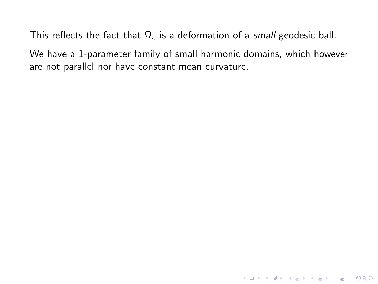We have a 1-parameter family of small harmonic domains, which however are not parallel nor have constant mean curvature.

K ロ ▶ K @ ▶ K 할 ▶ K 할 ▶ | 할 | © 9 Q @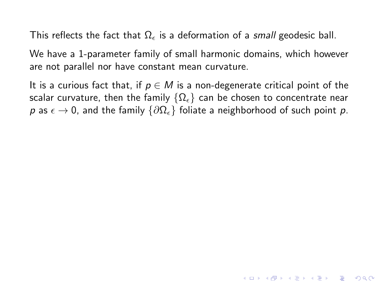We have a 1-parameter family of small harmonic domains, which however are not parallel nor have constant mean curvature.

It is a curious fact that, if  $p \in M$  is a non-degenerate critical point of the scalar curvature, then the family  $\{\Omega_{\epsilon}\}\)$  can be chosen to concentrate near p as  $\epsilon \to 0$ , and the family  $\{\partial \Omega_{\epsilon}\}\$  foliate a neighborhood of such point p.

**KORK ERKER ADE YOUR**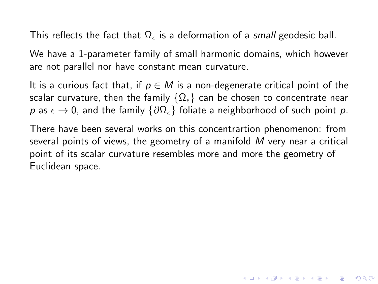We have a 1-parameter family of small harmonic domains, which however are not parallel nor have constant mean curvature.

It is a curious fact that, if  $p \in M$  is a non-degenerate critical point of the scalar curvature, then the family  $\{\Omega_{\epsilon}\}\)$  can be chosen to concentrate near p as  $\epsilon \to 0$ , and the family  $\{\partial \Omega_{\epsilon}\}\$  foliate a neighborhood of such point p.

There have been several works on this concentrartion phenomenon: from several points of views, the geometry of a manifold M very near a critical point of its scalar curvature resembles more and more the geometry of Euclidean space.

**KORK ERKER ADE YOUR**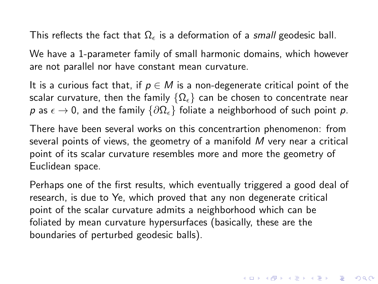We have a 1-parameter family of small harmonic domains, which however are not parallel nor have constant mean curvature.

It is a curious fact that, if  $p \in M$  is a non-degenerate critical point of the scalar curvature, then the family  $\{\Omega_{\epsilon}\}\)$  can be chosen to concentrate near p as  $\epsilon \to 0$ , and the family  $\{\partial \Omega_{\epsilon}\}\$  foliate a neighborhood of such point p.

There have been several works on this concentrartion phenomenon: from several points of views, the geometry of a manifold M very near a critical point of its scalar curvature resembles more and more the geometry of Euclidean space.

Perhaps one of the first results, which eventually triggered a good deal of research, is due to Ye, which proved that any non degenerate critical point of the scalar curvature admits a neighborhood which can be foliated by mean curvature hypersurfaces (basically, these are the boundaries of perturbed geodesic balls).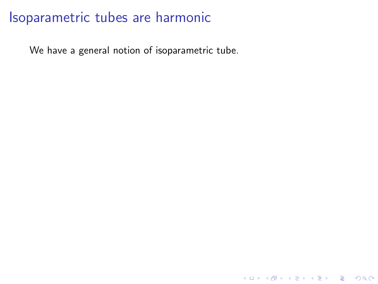We have a general notion of isoparametric tube.

K ロ ▶ K @ ▶ K 할 ▶ K 할 ▶ | 할 | ⊙Q @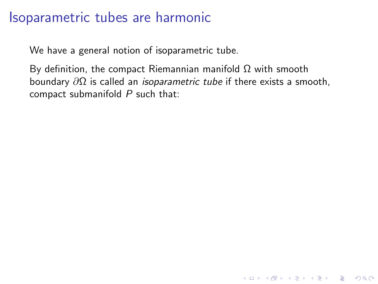We have a general notion of isoparametric tube.

By definition, the compact Riemannian manifold  $Ω$  with smooth boundary  $\partial\Omega$  is called an *isoparametric tube* if there exists a smooth, compact submanifold  $P$  such that:

K ロ ▶ K @ ▶ K 할 > K 할 > 1 할 > 1 이익어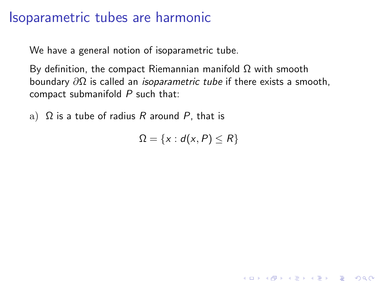We have a general notion of isoparametric tube.

By definition, the compact Riemannian manifold  $\Omega$  with smooth boundary  $\partial\Omega$  is called an *isoparametric tube* if there exists a smooth, compact submanifold  $P$  such that:

a)  $\Omega$  is a tube of radius R around P, that is

 $\Omega = \{x : d(x, P) \le R\}$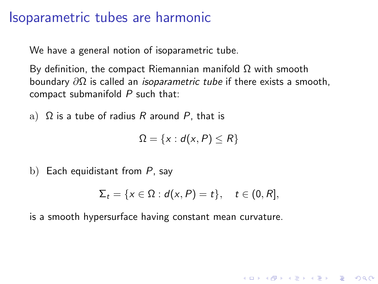We have a general notion of isoparametric tube.

By definition, the compact Riemannian manifold Ω with smooth boundary  $\partial\Omega$  is called an *isoparametric tube* if there exists a smooth, compact submanifold  $P$  such that:

a)  $\Omega$  is a tube of radius R around P, that is

 $\Omega = \{x : d(x, P) \le R\}$ 

b) Each equidistant from  $P$ , say

$$
\Sigma_t = \{x \in \Omega : d(x, P) = t\}, \quad t \in (0, R],
$$

**K ロ ▶ K @ ▶ K 할 X X 할 X → 할 X → 9 Q Q ^** 

is a smooth hypersurface having constant mean curvature.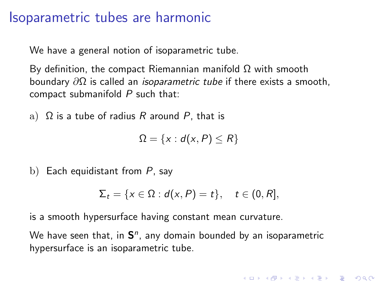We have a general notion of isoparametric tube.

By definition, the compact Riemannian manifold Ω with smooth boundary  $\partial\Omega$  is called an *isoparametric tube* if there exists a smooth, compact submanifold  $P$  such that:

a)  $\Omega$  is a tube of radius R around P, that is

 $\Omega = \{x : d(x, P) \le R\}$ 

b) Each equidistant from  $P$ , say

$$
\Sigma_t = \{x \in \Omega : d(x, P) = t\}, \quad t \in (0, R],
$$

4 D > 4 P + 4 B + 4 B + B + 9 Q O

is a smooth hypersurface having constant mean curvature.

We have seen that, in  $S<sup>n</sup>$ , any domain bounded by an isoparametric hypersurface is an isoparametric tube.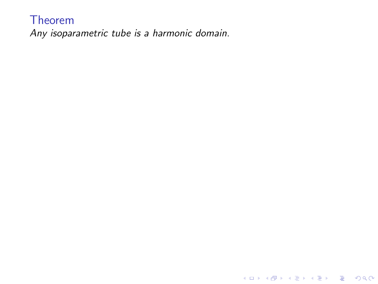#### Theorem

Any isoparametric tube is a harmonic domain.

K ロ X K 메 X K B X X B X X D X O Q Q O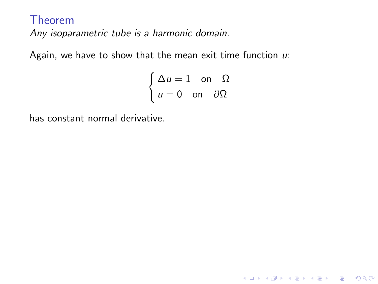Again, we have to show that the mean exit time function  $u$ :

$$
\begin{cases} \Delta u = 1 & \text{on } \ \Omega \\ u = 0 & \text{on } \partial\Omega \end{cases}
$$

K ロ ▶ K @ ▶ K 할 ▶ K 할 ▶ | 할 | © 9 Q @

has constant normal derivative.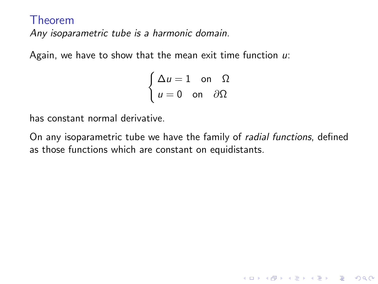Again, we have to show that the mean exit time function  $u$ :

$$
\begin{cases} \Delta u = 1 & \text{on } \ \Omega \\ u = 0 & \text{on } \partial\Omega \end{cases}
$$

has constant normal derivative.

On any isoparametric tube we have the family of *radial functions*, defined as those functions which are constant on equidistants.

**KORK ERKER ADE YOUR**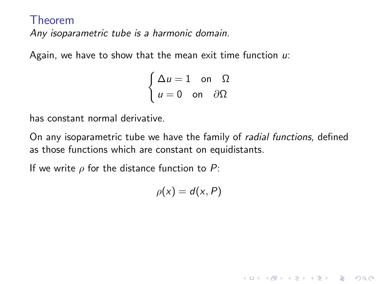Again, we have to show that the mean exit time function  $u$ :

$$
\begin{cases} \Delta u = 1 & \text{on } \ \Omega \\ u = 0 & \text{on } \partial\Omega \end{cases}
$$

has constant normal derivative.

On any isoparametric tube we have the family of radial functions, defined as those functions which are constant on equidistants.

If we write  $\rho$  for the distance function to P:

 $\rho(x) = d(x, P)$ 

**KORK ERKER ADE YOUR**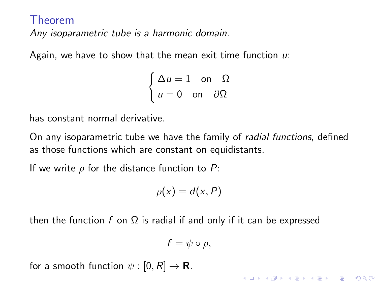Again, we have to show that the mean exit time function  $u$ :

$$
\begin{cases} \Delta u = 1 & \text{on } \ \Omega \\ u = 0 & \text{on } \partial\Omega \end{cases}
$$

has constant normal derivative.

On any isoparametric tube we have the family of *radial functions*, defined as those functions which are constant on equidistants.

If we write  $\rho$  for the distance function to P:

$$
\rho(x)=d(x,P)
$$

then the function f on  $\Omega$  is radial if and only if it can be expressed

$$
f=\psi\circ\rho,
$$

**KORK ERKER ADE YOUR** 

for a smooth function  $\psi : [0, R] \rightarrow \mathbf{R}$ .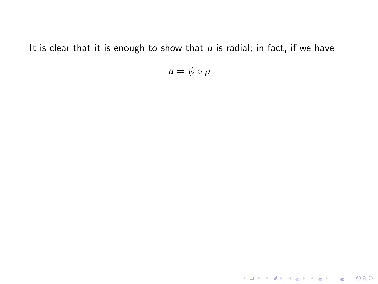It is clear that it is enough to show that  $u$  is radial; in fact, if we have

 $u = \psi \circ \rho$ 

K ロ X K 메 X K B X X B X X D X O Q Q O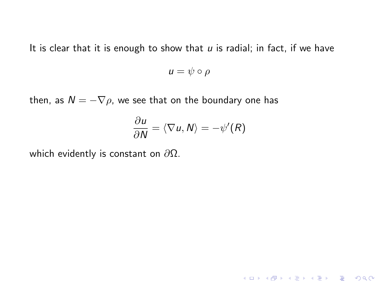It is clear that it is enough to show that  $u$  is radial; in fact, if we have

 $u = \psi \circ \rho$ 

then, as  $N = -\nabla \rho$ , we see that on the boundary one has

$$
\frac{\partial u}{\partial N} = \langle \nabla u, N \rangle = -\psi'(R)
$$

K ロ K K (P) K (E) K (E) X (E) X (P) K (P)

which evidently is constant on  $\partial\Omega$ .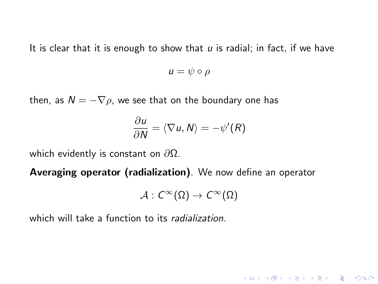It is clear that it is enough to show that  $u$  is radial; in fact, if we have

 $u = \psi \circ \rho$ 

then, as  $N = -\nabla \rho$ , we see that on the boundary one has

$$
\frac{\partial u}{\partial N} = \langle \nabla u, N \rangle = -\psi'(R)
$$

which evidently is constant on  $\partial\Omega$ .

Averaging operator (radialization). We now define an operator

$$
\mathcal{A}:C^{\infty}(\Omega)\rightarrow C^{\infty}(\Omega)
$$

K ロ ▶ K @ ▶ K 할 ▶ K 할 ▶ 이 할 → 9 Q @

which will take a function to its *radialization*.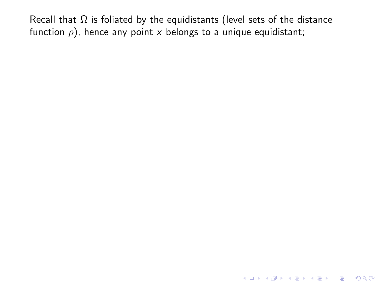KO KKOK KEK KEK LE I KORO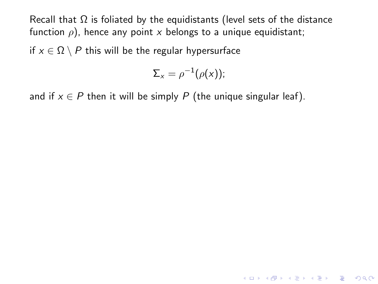if  $x \in \Omega \setminus P$  this will be the regular hypersurface

$$
\Sigma_x = \rho^{-1}(\rho(x));
$$

and if  $x \in P$  then it will be simply P (the unique singular leaf).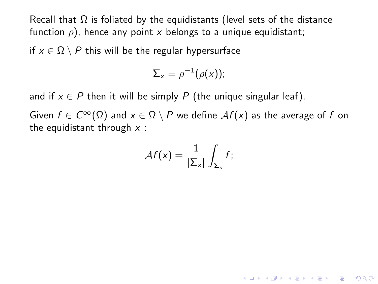if  $x \in \Omega \setminus P$  this will be the regular hypersurface

$$
\Sigma_x = \rho^{-1}(\rho(x));
$$

and if  $x \in P$  then it will be simply P (the unique singular leaf).

Given  $f \in C^{\infty}(\Omega)$  and  $x \in \Omega \setminus P$  we define  $\mathcal{A}f(x)$  as the average of f on the equidistant through  $x$  :

$$
\mathcal{A}f(x)=\frac{1}{|\Sigma_x|}\int_{\Sigma_x}f;
$$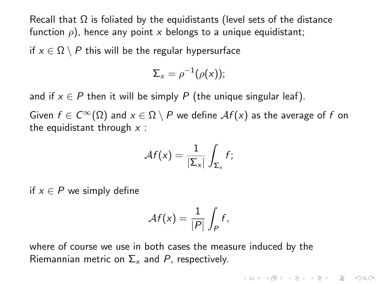if  $x \in \Omega \setminus P$  this will be the regular hypersurface

$$
\Sigma_x = \rho^{-1}(\rho(x));
$$

and if  $x \in P$  then it will be simply P (the unique singular leaf).

Given  $f \in C^{\infty}(\Omega)$  and  $x \in \Omega \setminus P$  we define  $\mathcal{A}f(x)$  as the average of f on the equidistant through  $x$  :

$$
\mathcal{A}f(x)=\frac{1}{|\Sigma_x|}\int_{\Sigma_x}f;
$$

if  $x \in P$  we simply define

$$
\mathcal{A}f(x) = \frac{1}{|P|} \int_P f,
$$

**K ロ ▶ K @ ▶ K 할 X X 할 X → 할 X → 9 Q Q ^** 

where of course we use in both cases the measure induced by the Riemannian metric on  $\Sigma_{x}$  and P, respectively.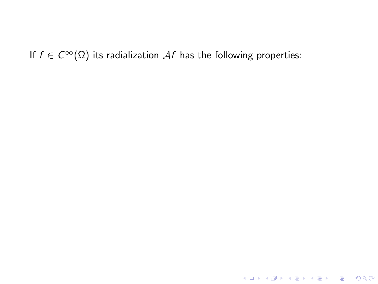If  $f \in C^{\infty}(\Omega)$  its radialization Af has the following properties:

**K ロ ▶ K 레 ▶ K 로 ▶ K 로 ▶ - 로 - K 이 이 이 이**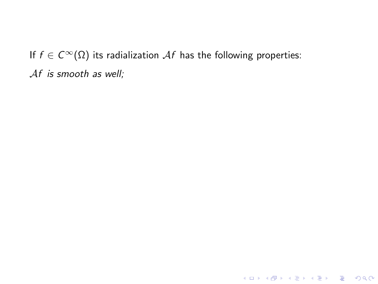KID KAR KERKER E 1990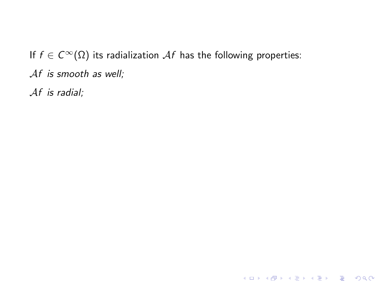Af is radial;

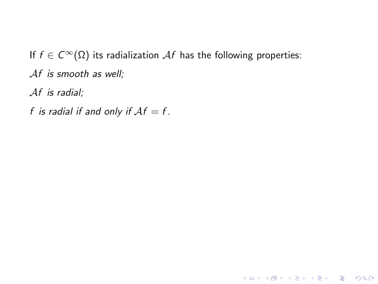Af is radial;

f is radial if and only if  $\mathcal{A}f = f$ .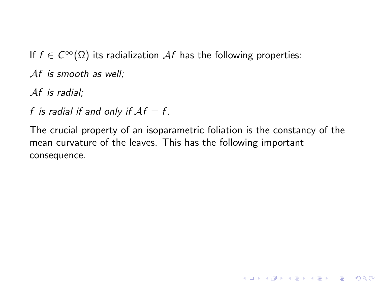Af is radial;

f is radial if and only if  $\mathcal{A}f = f$ .

The crucial property of an isoparametric foliation is the constancy of the mean curvature of the leaves. This has the following important consequence.

**KORK STRATER STRAKES**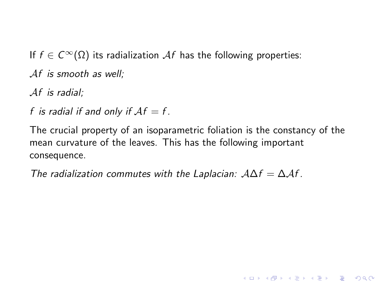Af is radial;

f is radial if and only if  $\mathcal{A}f = f$ .

The crucial property of an isoparametric foliation is the constancy of the mean curvature of the leaves. This has the following important consequence.

**KORK ERKER ADE YOUR** 

The radialization commutes with the Laplacian:  $A\Delta f = \Delta \mathcal{A}f$ .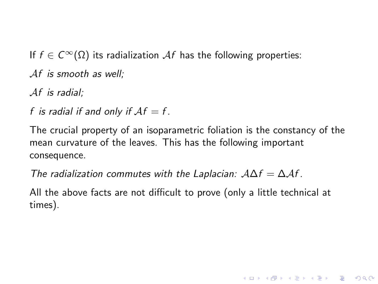Af is radial;

f is radial if and only if  $\mathcal{A}f = f$ .

The crucial property of an isoparametric foliation is the constancy of the mean curvature of the leaves. This has the following important consequence.

The radialization commutes with the Laplacian:  $A\Delta f = \Delta \mathcal{A}f$ .

All the above facts are not difficult to prove (only a little technical at times).

**KORK ERKER ADE YOUR**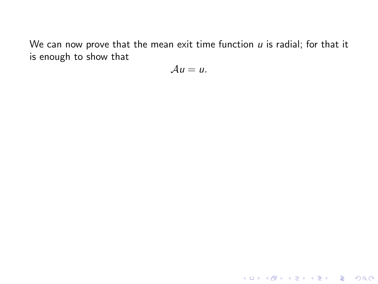We can now prove that the mean exit time function  $u$  is radial; for that it is enough to show that

$$
\mathcal{A}u=u.
$$

K ロ ▶ K @ ▶ K 할 ▶ K 할 ▶ ... 할 ... 9 Q Q ·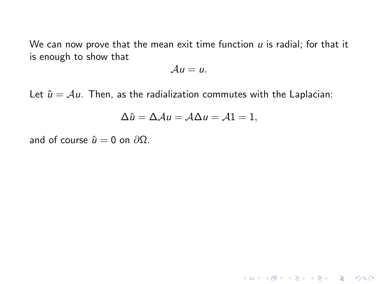We can now prove that the mean exit time function  $u$  is radial; for that it is enough to show that

$$
\mathcal{A}u=u.
$$

Let  $\hat{u} = Au$ . Then, as the radialization commutes with the Laplacian:

$$
\Delta \hat{u} = \Delta \mathcal{A}u = \mathcal{A}\Delta u = \mathcal{A}1 = 1,
$$

K ロ ▶ K @ ▶ K 할 ▶ K 할 ▶ | 할 | ⊙Q @

and of course  $\hat{u} = 0$  on  $\partial \Omega$ .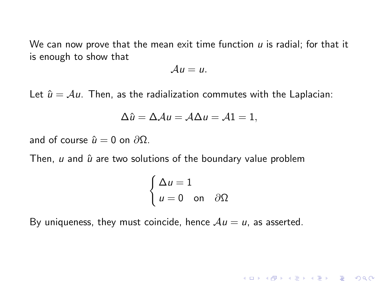We can now prove that the mean exit time function  $u$  is radial; for that it is enough to show that

$$
\mathcal{A}u=u.
$$

Let  $\hat{u} = Au$ . Then, as the radialization commutes with the Laplacian:

$$
\Delta \hat{u} = \Delta \mathcal{A}u = \mathcal{A}\Delta u = \mathcal{A}1 = 1,
$$

and of course  $\hat{u} = 0$  on  $\partial \Omega$ .

Then,  $u$  and  $\hat{u}$  are two solutions of the boundary value problem

$$
\begin{cases} \Delta u = 1 \\ u = 0 \quad \text{on} \quad \partial \Omega \end{cases}
$$

**KORK ERKER ADE YOUR** 

By uniqueness, they must coincide, hence  $Au = u$ , as asserted.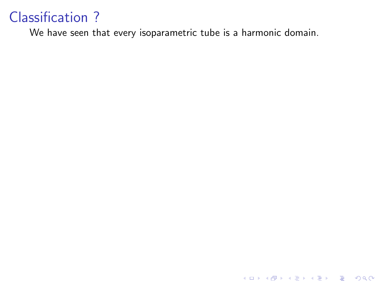We have seen that every isoparametric tube is a harmonic domain.

K ロ ▶ K @ ▶ K 할 ▶ K 할 ▶ | 할 | ⊙Q @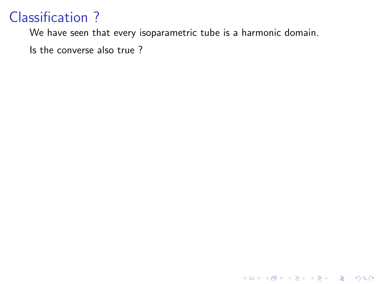We have seen that every isoparametric tube is a harmonic domain.

K ロ K K (P) K (E) K (E) X (E) X (P) K (P)

Is the converse also true ?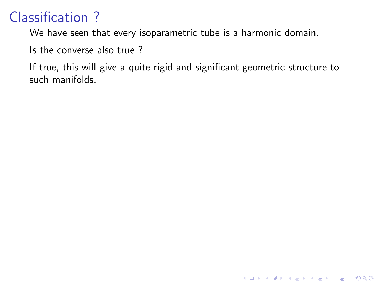We have seen that every isoparametric tube is a harmonic domain.

Is the converse also true ?

If true, this will give a quite rigid and significant geometric structure to such manifolds.

K ロ ▶ K @ ▶ K 할 > K 할 > 1 할 > 1 이익어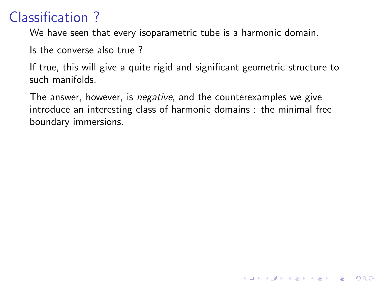We have seen that every isoparametric tube is a harmonic domain.

Is the converse also true ?

If true, this will give a quite rigid and significant geometric structure to such manifolds.

The answer, however, is *negative*, and the counterexamples we give introduce an interesting class of harmonic domains : the minimal free boundary immersions.

**KORK STRATER STRAKER**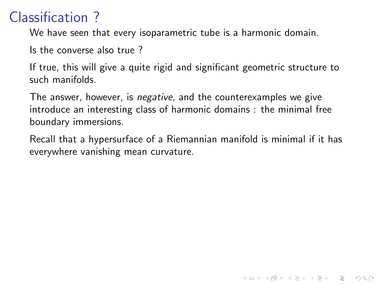We have seen that every isoparametric tube is a harmonic domain.

Is the converse also true ?

If true, this will give a quite rigid and significant geometric structure to such manifolds.

The answer, however, is *negative*, and the counterexamples we give introduce an interesting class of harmonic domains : the minimal free boundary immersions.

Recall that a hypersurface of a Riemannian manifold is minimal if it has everywhere vanishing mean curvature.

**KORK STRATER STRAKER**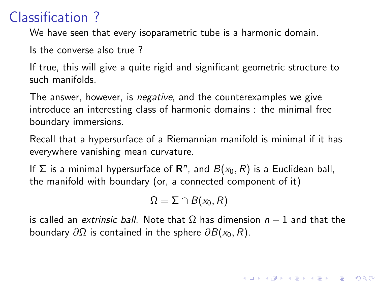We have seen that every isoparametric tube is a harmonic domain.

Is the converse also true ?

If true, this will give a quite rigid and significant geometric structure to such manifolds.

The answer, however, is *negative*, and the counterexamples we give introduce an interesting class of harmonic domains : the minimal free boundary immersions.

Recall that a hypersurface of a Riemannian manifold is minimal if it has everywhere vanishing mean curvature.

If  $\Sigma$  is a minimal hypersurface of  $\mathbf{R}^n$ , and  $B(x_0,R)$  is a Euclidean ball, the manifold with boundary (or, a connected component of it)

$$
\Omega = \Sigma \cap B(x_0, R)
$$

is called an *extrinsic ball*. Note that  $\Omega$  has dimension  $n - 1$  and that the boundary  $\partial\Omega$  is contained in the sphere  $\partial B(x_0, R)$ .

4 D > 4 P + 4 B + 4 B + B + 9 Q O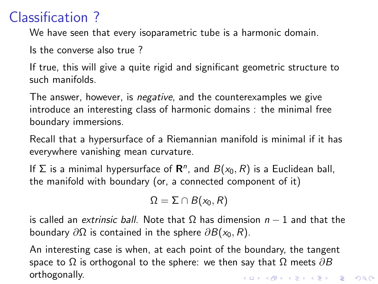We have seen that every isoparametric tube is a harmonic domain.

Is the converse also true ?

If true, this will give a quite rigid and significant geometric structure to such manifolds.

The answer, however, is negative, and the counterexamples we give introduce an interesting class of harmonic domains : the minimal free boundary immersions.

Recall that a hypersurface of a Riemannian manifold is minimal if it has everywhere vanishing mean curvature.

If  $\Sigma$  is a minimal hypersurface of  $\mathbf{R}^n$ , and  $B(x_0,R)$  is a Euclidean ball, the manifold with boundary (or, a connected component of it)

$$
\Omega = \Sigma \cap B(x_0, R)
$$

is called an *extrinsic ball*. Note that  $\Omega$  has dimension  $n - 1$  and that the boundary  $\partial\Omega$  is contained in the sphere  $\partial B(x_0, R)$ .

An interesting case is when, at each point of the boundary, the tangent space to  $\Omega$  is orthogonal to the sphere: we then say that  $\Omega$  meets  $\partial B$ orthogonally.4 D > 4 P + 4 B + 4 B + B + 9 Q O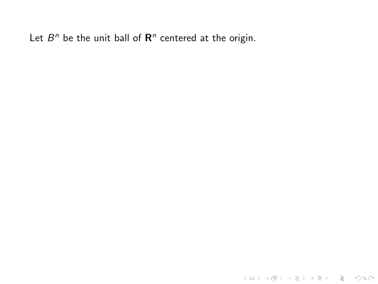K ロ ▶ K @ ▶ K 할 ▶ K 할 ▶ ... 할 ... 9 Q Q ·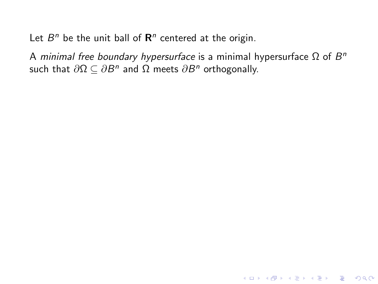A *minimal free boundary hypersurface* is a minimal hypersurface Ω of  $B^n$ such that  $\partial\Omega\subseteq\partial B^n$  and  $\Omega$  meets  $\partial B^n$  orthogonally.

K ロ ▶ K @ ▶ K 할 ▶ K 할 ▶ | 할 | © 9 Q @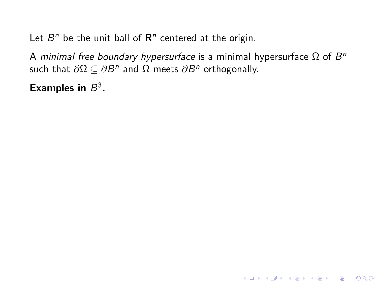A *minimal free boundary hypersurface* is a minimal hypersurface Ω of  $B^n$ such that  $\partial\Omega\subseteq\partial B^n$  and  $\Omega$  meets  $\partial B^n$  orthogonally.

K ロ ▶ K @ ▶ K 할 ▶ K 할 ▶ | 할 | © 9 Q @

Examples in  $B^3$ .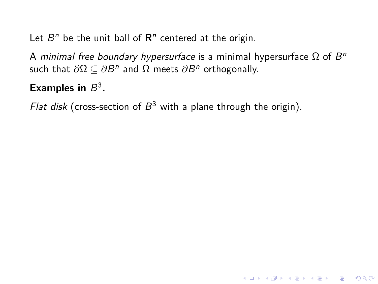A *minimal free boundary hypersurface* is a minimal hypersurface Ω of  $B^n$ such that  $\partial\Omega\subseteq\partial B^n$  and  $\Omega$  meets  $\partial B^n$  orthogonally.

K ロ ▶ K @ ▶ K 할 > K 할 > 1 할 > 1 이익어

#### Examples in  $B^3$ .

Flat disk (cross-section of  $B^3$  with a plane through the origin).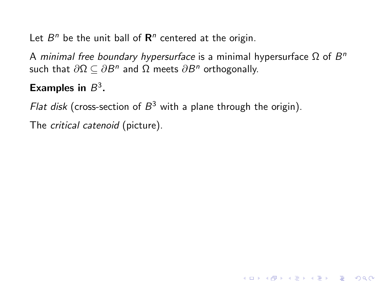A *minimal free boundary hypersurface* is a minimal hypersurface Ω of  $B^n$ such that  $\partial\Omega\subseteq\partial B^n$  and  $\Omega$  meets  $\partial B^n$  orthogonally.

**KORKA SERKER ORA** 

#### Examples in  $B^3$ .

Flat disk (cross-section of  $B^3$  with a plane through the origin).

The critical catenoid (picture).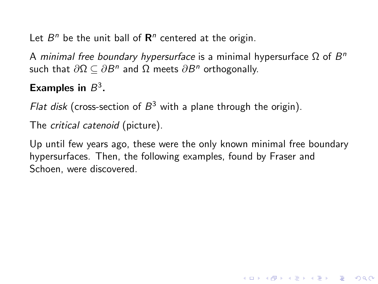A *minimal free boundary hypersurface* is a minimal hypersurface Ω of  $B^n$ such that  $\partial\Omega\subseteq\partial B^n$  and  $\Omega$  meets  $\partial B^n$  orthogonally.

#### Examples in  $B^3$ .

Flat disk (cross-section of  $B^3$  with a plane through the origin).

The critical catenoid (picture).

Up until few years ago, these were the only known minimal free boundary hypersurfaces. Then, the following examples, found by Fraser and Schoen, were discovered.

**KORK ERKER ADE YOUR**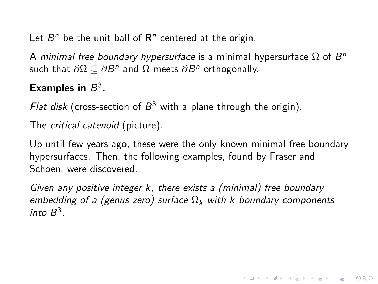A *minimal free boundary hypersurface* is a minimal hypersurface Ω of  $B^n$ such that  $\partial\Omega\subseteq\partial B^n$  and  $\Omega$  meets  $\partial B^n$  orthogonally.

#### Examples in  $B^3$ .

Flat disk (cross-section of  $B^3$  with a plane through the origin).

The critical catenoid (picture).

Up until few years ago, these were the only known minimal free boundary hypersurfaces. Then, the following examples, found by Fraser and Schoen, were discovered.

Given any positive integer k, there exists a (minimal) free boundary embedding of a (genus zero) surface  $\Omega_k$  with k boundary components into  $B^3$ .

4 D > 4 P + 4 B + 4 B + B + 9 Q O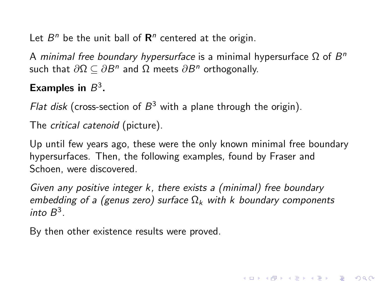<span id="page-59-0"></span>A *minimal free boundary hypersurface* is a minimal hypersurface Ω of  $B^n$ such that  $\partial\Omega\subseteq\partial B^n$  and  $\Omega$  meets  $\partial B^n$  orthogonally.

#### Examples in  $B^3$ .

Flat disk (cross-section of  $B^3$  with a plane through the origin).

The critical catenoid (picture).

Up until few years ago, these were the only known minimal free boundary hypersurfaces. Then, the following examples, found by Fraser and Schoen, were discovered.

Given any positive integer k, there exists a (minimal) free boundary embedding of a (genus zero) surface  $\Omega_k$  with k boundary components into  $B^3$ .

4 D > 4 P + 4 B + 4 B + B + 9 Q O

By then other existence results were proved.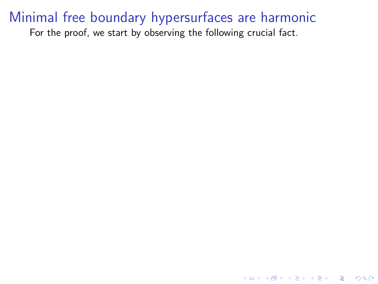<span id="page-60-0"></span>For the proof, we start by observing the following crucial fact.

K ロ ▶ K @ ▶ K 할 ▶ K 할 ▶ ... 할 → 9 Q @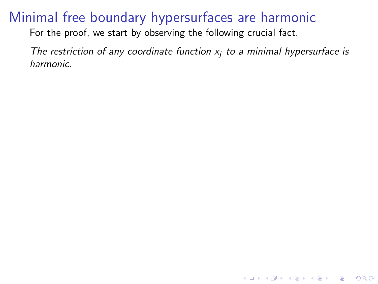For the proof, we start by observing the following crucial fact.

The restriction of any coordinate function  $x_i$  to a minimal hypersurface is harmonic.

**KORKA SERKER ORA**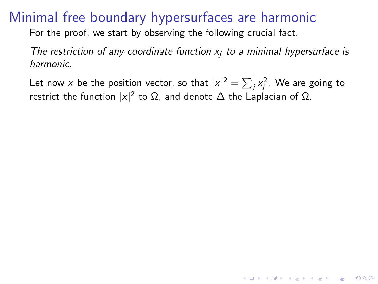For the proof, we start by observing the following crucial fact.

The restriction of any coordinate function  $x_i$  to a minimal hypersurface is harmonic.

Let now  $x$  be the position vector, so that  $|x|^2=\sum_j x_j^2.$  We are going to restrict the function  $|x|^2$  to  $\Omega$ , and denote  $\Delta$  the Laplacian of  $\Omega$ .

4 D > 4 P + 4 B + 4 B + B + 9 Q O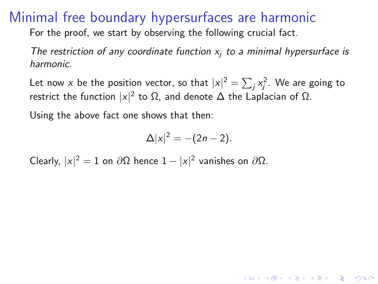For the proof, we start by observing the following crucial fact.

The restriction of any coordinate function  $x_i$  to a minimal hypersurface is harmonic.

Let now  $x$  be the position vector, so that  $|x|^2=\sum_j x_j^2.$  We are going to restrict the function  $|x|^2$  to  $\Omega$ , and denote  $\Delta$  the Laplacian of  $\Omega$ .

Using the above fact one shows that then:

$$
\Delta |x|^2 = -(2n-2).
$$

**AD A 4 4 4 5 A 5 A 5 A 4 D A 4 D A 4 P A 4 5 A 4 5 A 5 A 4 A 4 A 4 A** 

Clearly,  $|x|^2 = 1$  on  $\partial\Omega$  hence  $1 - |x|^2$  vanishes on  $\partial\Omega$ .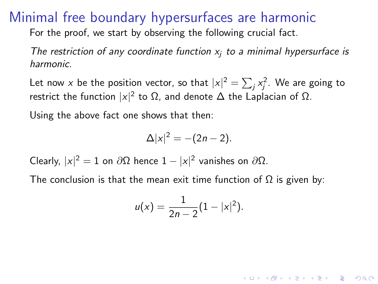<span id="page-64-0"></span>For the proof, we start by observing the following crucial fact.

The restriction of any coordinate function  $x_i$  to a minimal hypersurface is harmonic.

Let now  $x$  be the position vector, so that  $|x|^2=\sum_j x_j^2.$  We are going to restrict the function  $|x|^2$  to  $\Omega$ , and denote  $\Delta$  the Laplacian of  $\Omega$ .

Using the above fact one shows that then:

$$
\Delta |x|^2 = -(2n-2).
$$

Clearly,  $|x|^2 = 1$  on  $\partial\Omega$  hence  $1 - |x|^2$  vanishes on  $\partial\Omega$ .

The conclusion is that the mean exit time function of  $\Omega$  is given by:

$$
u(x) = \frac{1}{2n-2}(1-|x|^2).
$$

**AD A 4 4 4 5 A 5 A 5 A 4 D A 4 D A 4 P A 4 5 A 4 5 A 5 A 4 A 4 A 4 A**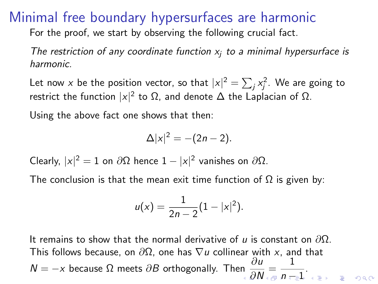<span id="page-65-0"></span>For the proof, we start by observing the following crucial fact.

The restriction of any coordinate function  $x_i$  to a minimal hypersurface is harmonic.

Let now  $x$  be the position vector, so that  $|x|^2=\sum_j x_j^2.$  We are going to restrict the function  $|x|^2$  to  $\Omega$ , and denote  $\Delta$  the Laplacian of  $\Omega$ .

Using the above fact one shows that then:

$$
\Delta |x|^2 = -(2n-2).
$$

Clearly,  $|x|^2 = 1$  on  $\partial\Omega$  hence  $1 - |x|^2$  vanishes on  $\partial\Omega$ .

The conclusion is that the mean exit time function of  $\Omega$  is given by:

$$
u(x) = \frac{1}{2n-2}(1-|x|^2).
$$

It remains to show that the normal derivative of u is constant on  $\partial\Omega$ . This follows because, on  $\partial\Omega$ , one has  $\nabla u$  collinear with x, and that  $N = -x$  because  $\Omega$  meets  $\partial B$  orthogo[n](#page-64-0)ally. Then  $\frac{1}{x}$  $\frac{\partial u}{\partial N} = \frac{1}{n-1}$  $\frac{\partial u}{\partial N} = \frac{1}{n-1}$  $\frac{\partial u}{\partial N} = \frac{1}{n-1}$  $\frac{\partial u}{\partial N} = \frac{1}{n-1}$  $\frac{\partial u}{\partial N} = \frac{1}{n-1}$  $\frac{1}{n-1}$  $\frac{1}{n-1}$  $\frac{1}{n-1}$  $\frac{1}{n-1}$  $\frac{1}{n-1}$ .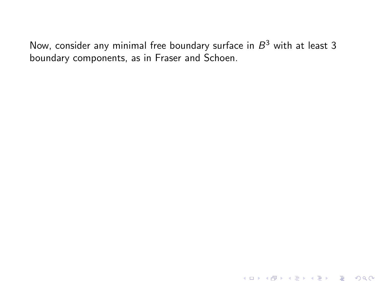<span id="page-66-0"></span>K ロ ▶ K @ ▶ K 할 ▶ K 할 ▶ ... 할 ... 9 Q Q ·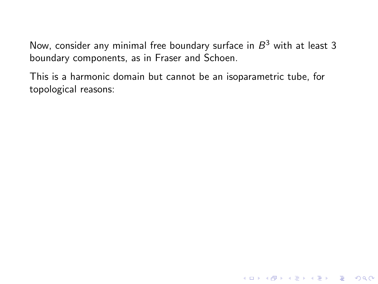This is a harmonic domain but cannot be an isoparametric tube, for topological reasons: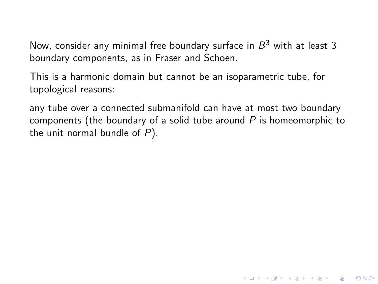This is a harmonic domain but cannot be an isoparametric tube, for topological reasons:

any tube over a connected submanifold can have at most two boundary components (the boundary of a solid tube around  $P$  is homeomorphic to the unit normal bundle of  $P$ ).

**KORKA SERKER ORA**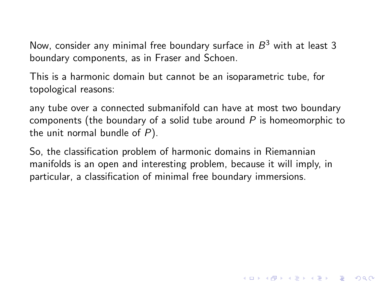This is a harmonic domain but cannot be an isoparametric tube, for topological reasons:

any tube over a connected submanifold can have at most two boundary components (the boundary of a solid tube around  $P$  is homeomorphic to the unit normal bundle of  $P$ ).

So, the classification problem of harmonic domains in Riemannian manifolds is an open and interesting problem, because it will imply, in particular, a classification of minimal free boundary immersions.

**KORKA SERKER ORA**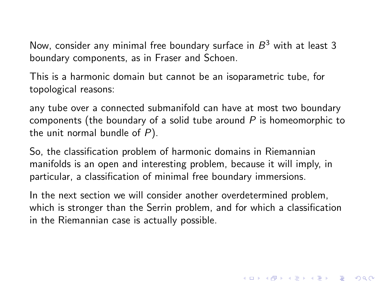This is a harmonic domain but cannot be an isoparametric tube, for topological reasons:

any tube over a connected submanifold can have at most two boundary components (the boundary of a solid tube around  $P$  is homeomorphic to the unit normal bundle of  $P$ ).

So, the classification problem of harmonic domains in Riemannian manifolds is an open and interesting problem, because it will imply, in particular, a classification of minimal free boundary immersions.

In the next section we will consider another overdetermined problem, which is stronger than the Serrin problem, and for which a classification in the Riemannian case is actually possible.

4 D > 4 P + 4 B + 4 B + B + 9 Q O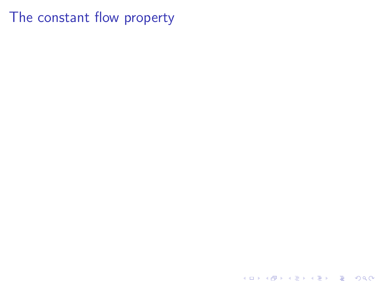The constant flow property

K ロ ▶ K @ ▶ K 할 > K 할 > 1 할 > 1 9 Q Q\*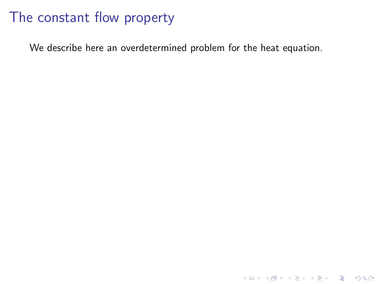We describe here an overdetermined problem for the heat equation.

K ロ K K (P) K (E) K (E) X (E) X (P) K (P)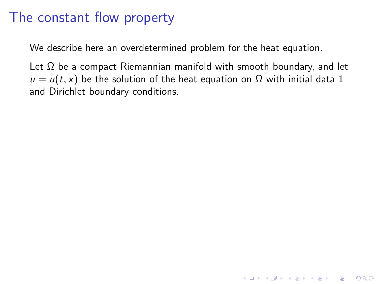We describe here an overdetermined problem for the heat equation.

Let  $\Omega$  be a compact Riemannian manifold with smooth boundary, and let  $u = u(t, x)$  be the solution of the heat equation on  $\Omega$  with initial data 1 and Dirichlet boundary conditions.

**K ロ ▶ K @ ▶ K 할 X X 할 X → 할 X → 9 Q Q ^**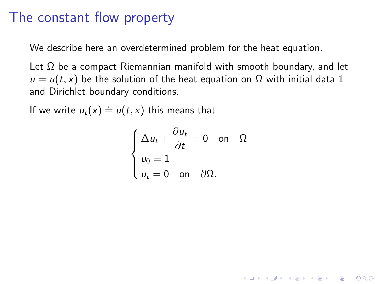We describe here an overdetermined problem for the heat equation.

Let  $\Omega$  be a compact Riemannian manifold with smooth boundary, and let  $u = u(t, x)$  be the solution of the heat equation on  $\Omega$  with initial data 1 and Dirichlet boundary conditions.

If we write  $u_t(x) \doteq u(t,x)$  this means that

$$
\begin{cases} \Delta u_t + \frac{\partial u_t}{\partial t} = 0 \quad \text{on} \quad \Omega \\ u_0 = 1 \\ u_t = 0 \quad \text{on} \quad \partial \Omega. \end{cases}
$$

**K ロ ▶ K @ ▶ K 할 X X 할 X → 할 X → 9 Q Q ^**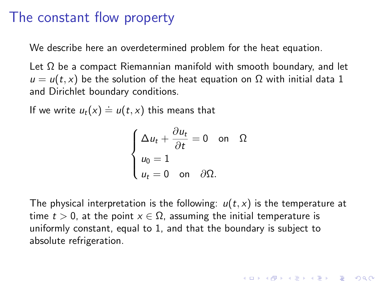We describe here an overdetermined problem for the heat equation.

Let  $\Omega$  be a compact Riemannian manifold with smooth boundary, and let  $u = u(t, x)$  be the solution of the heat equation on  $\Omega$  with initial data 1 and Dirichlet boundary conditions.

If we write  $u_t(x) \doteq u(t,x)$  this means that

$$
\begin{cases} \Delta u_t + \frac{\partial u_t}{\partial t} = 0 \quad \text{on} \quad \Omega \\ u_0 = 1 \\ u_t = 0 \quad \text{on} \quad \partial \Omega. \end{cases}
$$

The physical interpretation is the following:  $u(t, x)$  is the temperature at time  $t > 0$ , at the point  $x \in \Omega$ , assuming the initial temperature is uniformly constant, equal to 1, and that the boundary is subject to absolute refrigeration.

4 D > 4 P + 4 B + 4 B + B + 9 Q O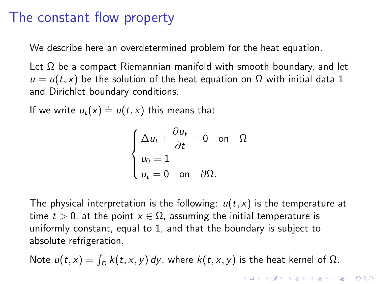We describe here an overdetermined problem for the heat equation.

Let  $\Omega$  be a compact Riemannian manifold with smooth boundary, and let  $u = u(t, x)$  be the solution of the heat equation on  $\Omega$  with initial data 1 and Dirichlet boundary conditions.

If we write  $u_t(x) \doteq u(t,x)$  this means that

$$
\begin{cases} \Delta u_t + \frac{\partial u_t}{\partial t} = 0 \quad \text{on} \quad \Omega \\ u_0 = 1 \\ u_t = 0 \quad \text{on} \quad \partial \Omega. \end{cases}
$$

The physical interpretation is the following:  $u(t, x)$  is the temperature at time  $t > 0$ , at the point  $x \in \Omega$ , assuming the initial temperature is uniformly constant, equal to 1, and that the boundary is subject to absolute refrigeration.

Note  $u(t, x) = \int_{\Omega} k(t, x, y) dy$ , where  $k(t, x, y)$  is the heat kernel of  $\Omega$ .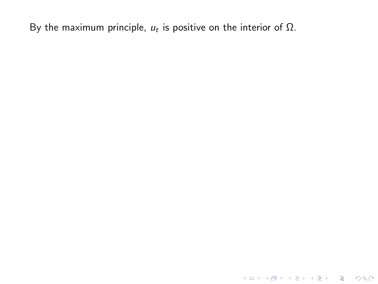K ロ X K 메 X K B X X B X X D X O Q Q O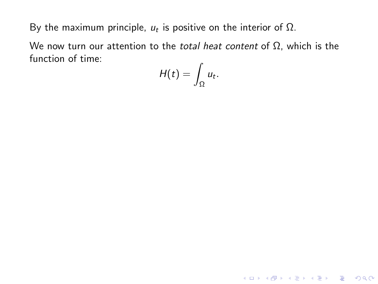We now turn our attention to the *total heat content* of  $Ω$ , which is the function of time:  $\overline{a}$ 

$$
H(t)=\int_{\Omega}u_t.
$$

K ロ ▶ K @ ▶ K 할 ▶ K 할 ▶ | 할 | © 9 Q @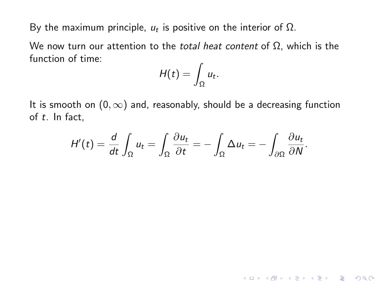We now turn our attention to the *total heat content* of  $Ω$ , which is the function of time:

$$
H(t)=\int_{\Omega}u_t.
$$

It is smooth on  $(0, \infty)$  and, reasonably, should be a decreasing function of t. In fact,

$$
H'(t) = \frac{d}{dt} \int_{\Omega} u_t = \int_{\Omega} \frac{\partial u_t}{\partial t} = - \int_{\Omega} \Delta u_t = - \int_{\partial \Omega} \frac{\partial u_t}{\partial N}.
$$

K ロ ▶ K @ ▶ K 할 ▶ K 할 ▶ | 할 | © 9 Q @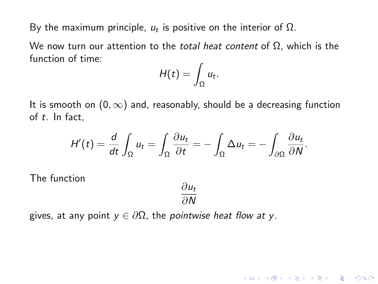We now turn our attention to the *total heat content* of  $Ω$ , which is the function of time:

$$
H(t)=\int_{\Omega}u_t.
$$

It is smooth on  $(0, \infty)$  and, reasonably, should be a decreasing function of t. In fact,

$$
H'(t) = \frac{d}{dt} \int_{\Omega} u_t = \int_{\Omega} \frac{\partial u_t}{\partial t} = - \int_{\Omega} \Delta u_t = - \int_{\partial \Omega} \frac{\partial u_t}{\partial N}.
$$

The function

$$
\frac{\partial u_t}{\partial N}
$$

**KORK ERKER ADE YOUR** 

gives, at any point  $y \in \partial \Omega$ , the *pointwise heat flow at y*.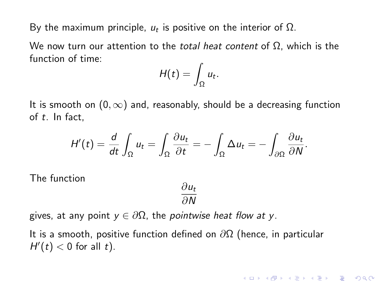We now turn our attention to the *total heat content* of  $\Omega$ , which is the function of time:

$$
H(t)=\int_{\Omega}u_t.
$$

It is smooth on  $(0, \infty)$  and, reasonably, should be a decreasing function of t. In fact,

$$
H'(t) = \frac{d}{dt} \int_{\Omega} u_t = \int_{\Omega} \frac{\partial u_t}{\partial t} = - \int_{\Omega} \Delta u_t = - \int_{\partial \Omega} \frac{\partial u_t}{\partial N}.
$$

The function

$$
\frac{\partial u_t}{\partial N}
$$

**KORK ERKER ADE YOUR** 

gives, at any point  $y \in \partial \Omega$ , the *pointwise heat flow at y*.

It is a smooth, positive function defined on  $\partial\Omega$  (hence, in particular  $H'(t) < 0$  for all t).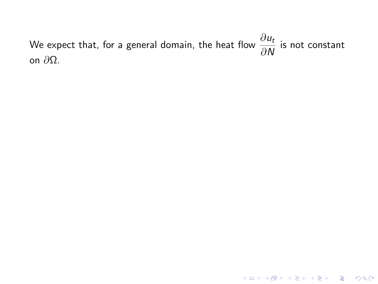We expect that, for a general domain, the heat flow  $\frac{\partial u_t}{\partial N}$  is not constant on ∂Ω.

**K ロ ▶ K 御 ▶ K 할 ▶ K 할 ▶ 이 할 → 이익단**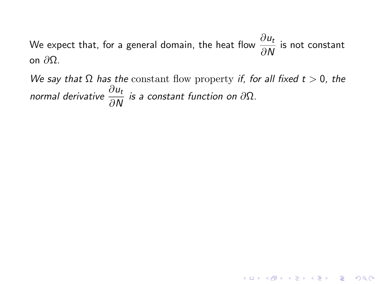We expect that, for a general domain, the heat flow  $\frac{\partial u_t}{\partial N}$  is not constant on  $\partial$ Ω.

We say that  $\Omega$  has the constant flow property if, for all fixed  $t > 0$ , the normal derivative  $\frac{\partial u_t}{\partial N}$  is a constant function on  $\partial \Omega$ .

**K ロ ▶ K 御 ▶ K 할 ▶ K 할 ▶ 이 할 → 이익단**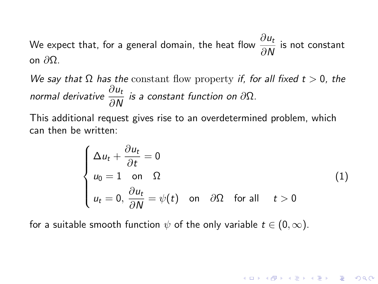We expect that, for a general domain, the heat flow  $\frac{\partial u_t}{\partial N}$  is not constant on  $\partial$ Ω.

We say that  $\Omega$  has the constant flow property if, for all fixed  $t > 0$ , the normal derivative  $\frac{\partial u_t}{\partial N}$  is a constant function on  $\partial \Omega$ .

This additional request gives rise to an overdetermined problem, which can then be written:

$$
\begin{cases}\n\Delta u_t + \frac{\partial u_t}{\partial t} = 0 \\
u_0 = 1 \quad \text{on} \quad \Omega \\
u_t = 0, \frac{\partial u_t}{\partial N} = \psi(t) \quad \text{on} \quad \partial \Omega \quad \text{for all} \quad t > 0\n\end{cases}
$$
\n(1)

for a suitable smooth function  $\psi$  of the only variable  $t \in (0, \infty)$ .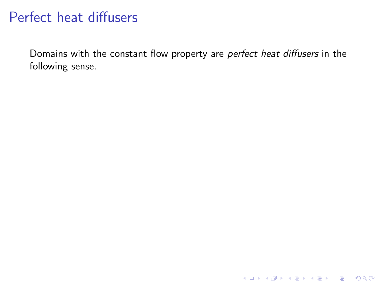# Perfect heat diffusers

Domains with the constant flow property are perfect heat diffusers in the following sense.

K ロ ▶ K @ ▶ K 할 ▶ K 할 ▶ | 할 | ⊙Q @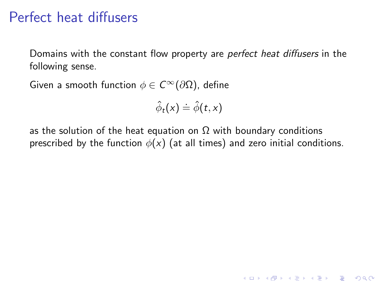## Perfect heat diffusers

Domains with the constant flow property are *perfect heat diffusers* in the following sense.

Given a smooth function  $\phi \in C^{\infty}(\partial \Omega)$ , define

$$
\hat{\phi}_t(x) \doteq \hat{\phi}(t,x)
$$

as the solution of the heat equation on  $\Omega$  with boundary conditions prescribed by the function  $\phi(x)$  (at all times) and zero initial conditions.

K ロ ▶ K @ ▶ K 할 > K 할 > 1 할 > 1 이익어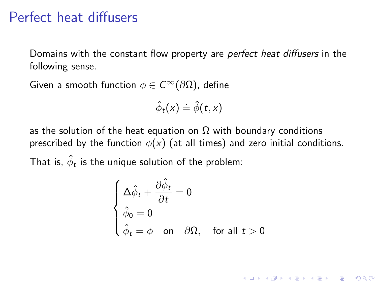### Perfect heat diffusers

Domains with the constant flow property are *perfect heat diffusers* in the following sense.

Given a smooth function  $\phi \in C^{\infty}(\partial \Omega)$ , define

$$
\hat{\phi}_t(x) \stackrel{.}{=} \hat{\phi}(t,x)
$$

as the solution of the heat equation on  $\Omega$  with boundary conditions prescribed by the function  $\phi(x)$  (at all times) and zero initial conditions. That is,  $\hat{\phi}_t$  is the unique solution of the problem:

$$
\begin{cases}\n\Delta \hat{\phi}_t + \frac{\partial \hat{\phi}_t}{\partial t} = 0 \\
\hat{\phi}_0 = 0 \\
\hat{\phi}_t = \phi \quad \text{on} \quad \partial \Omega, \quad \text{for all } t > 0\n\end{cases}
$$

**K ロ ▶ K @ ▶ K 할 X X 할 X → 할 X → 9 Q Q ^**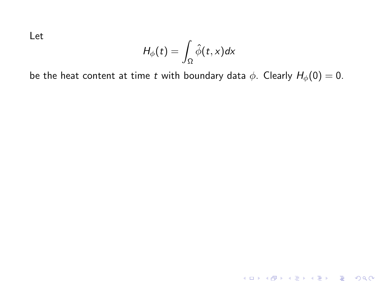$$
H_{\phi}(t)=\int_{\Omega}\hat{\phi}(t,x)dx
$$

be the heat content at time t with boundary data  $\phi$ . Clearly  $H_{\phi}(0) = 0$ .

KOX KOX KEX KEX E 1990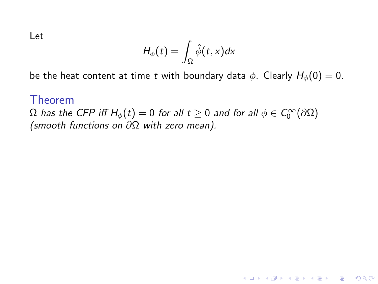$$
H_{\phi}(t) = \int_{\Omega} \hat{\phi}(t,x) dx
$$

be the heat content at time t with boundary data  $\phi$ . Clearly  $H_{\phi}(0) = 0$ .

K ロ ▶ K @ ▶ K 할 ▶ K 할 ▶ | 할 | © 9 Q @

#### Theorem

 $\Omega$  has the CFP iff  $H_\phi(t)=0$  for all  $t\geq 0$  and for all  $\phi\in\mathcal C^\infty_0(\partial\Omega)$ (smooth functions on ∂Ω with zero mean).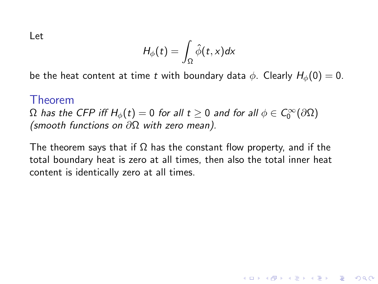$$
H_{\phi}(t) = \int_{\Omega} \hat{\phi}(t,x) dx
$$

be the heat content at time t with boundary data  $\phi$ . Clearly  $H_{\phi}(0) = 0$ .

#### Theorem

 $\Omega$  has the CFP iff  $H_\phi(t)=0$  for all  $t\geq 0$  and for all  $\phi\in\mathcal C^\infty_0(\partial\Omega)$ (smooth functions on ∂Ω with zero mean).

The theorem says that if  $\Omega$  has the constant flow property, and if the total boundary heat is zero at all times, then also the total inner heat content is identically zero at all times.

**KORK ERKER ADE YOUR**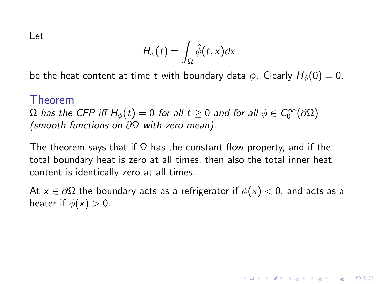$$
H_{\phi}(t) = \int_{\Omega} \hat{\phi}(t,x) dx
$$

be the heat content at time t with boundary data  $\phi$ . Clearly  $H_{\phi}(0) = 0$ .

#### Theorem

 $\Omega$  has the CFP iff  $H_\phi(t)=0$  for all  $t\geq 0$  and for all  $\phi\in\mathcal C^\infty_0(\partial\Omega)$ (smooth functions on ∂Ω with zero mean).

The theorem says that if  $\Omega$  has the constant flow property, and if the total boundary heat is zero at all times, then also the total inner heat content is identically zero at all times.

At  $x \in \partial \Omega$  the boundary acts as a refrigerator if  $\phi(x) < 0$ , and acts as a heater if  $\phi(x) > 0$ .

**KORKAR KERKER EL VOLO**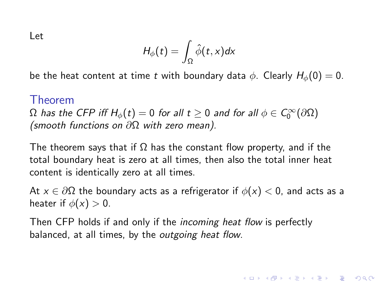$$
H_{\phi}(t) = \int_{\Omega} \hat{\phi}(t,x) dx
$$

be the heat content at time t with boundary data  $\phi$ . Clearly  $H_{\phi}(0) = 0$ .

#### Theorem

 $\Omega$  has the CFP iff  $H_\phi(t)=0$  for all  $t\geq 0$  and for all  $\phi\in\mathcal C^\infty_0(\partial\Omega)$ (smooth functions on ∂Ω with zero mean).

The theorem says that if  $\Omega$  has the constant flow property, and if the total boundary heat is zero at all times, then also the total inner heat content is identically zero at all times.

At  $x \in \partial \Omega$  the boundary acts as a refrigerator if  $\phi(x) < 0$ , and acts as a heater if  $\phi(x) > 0$ .

4 D > 4 P + 4 B + 4 B + B + 9 Q O

Then CFP holds if and only if the *incoming heat flow* is perfectly balanced, at all times, by the outgoing heat flow.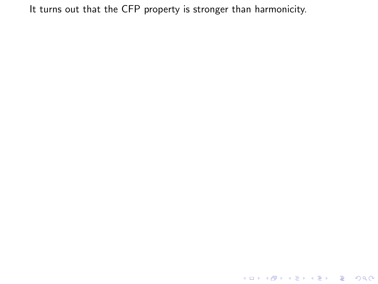K ロ ▶ K @ ▶ K 할 ▶ K 할 ▶ 이 할 → 9 Q @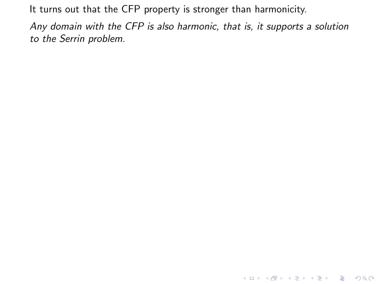Any domain with the CFP is also harmonic, that is, it supports a solution to the Serrin problem.

KO KKOK KEK KEK LE I KORO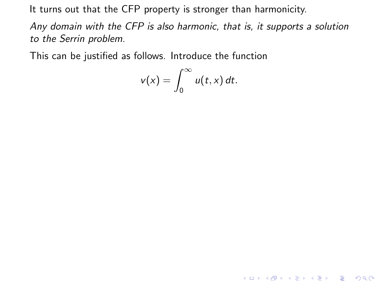Any domain with the CFP is also harmonic, that is, it supports a solution to the Serrin problem.

This can be justified as follows. Introduce the function

$$
v(x)=\int_0^\infty u(t,x)\,dt.
$$

KO KKOK KEK KEK LE I KORO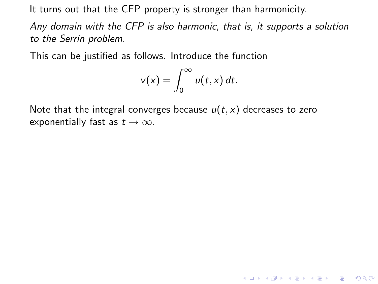Any domain with the CFP is also harmonic, that is, it supports a solution to the Serrin problem.

This can be justified as follows. Introduce the function

$$
v(x)=\int_0^\infty u(t,x)\,dt.
$$

**K ロ ▶ K @ ▶ K 할 X X 할 X → 할 X → 9 Q Q ^** 

Note that the integral converges because  $u(t, x)$  decreases to zero exponentially fast as  $t \to \infty$ .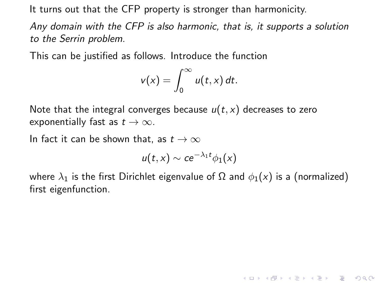Any domain with the CFP is also harmonic, that is, it supports a solution to the Serrin problem.

This can be justified as follows. Introduce the function

$$
v(x)=\int_0^\infty u(t,x)\,dt.
$$

Note that the integral converges because  $u(t, x)$  decreases to zero exponentially fast as  $t \to \infty$ .

In fact it can be shown that, as  $t \to \infty$ 

$$
u(t,x) \sim c e^{-\lambda_1 t} \phi_1(x)
$$

where  $\lambda_1$  is the first Dirichlet eigenvalue of  $\Omega$  and  $\phi_1(x)$  is a (normalized) first eigenfunction.

**K ロ ▶ K @ ▶ K 할 X X 할 X → 할 X → 9 Q Q ^**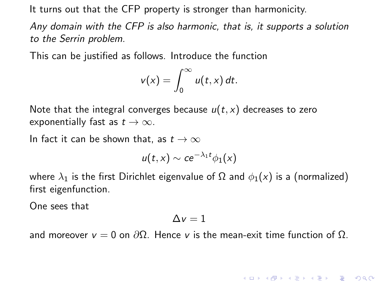Any domain with the CFP is also harmonic, that is, it supports a solution to the Serrin problem.

This can be justified as follows. Introduce the function

$$
v(x)=\int_0^\infty u(t,x)\,dt.
$$

Note that the integral converges because  $u(t, x)$  decreases to zero exponentially fast as  $t \to \infty$ .

In fact it can be shown that, as  $t \to \infty$ 

$$
u(t,x) \sim c e^{-\lambda_1 t} \phi_1(x)
$$

where  $\lambda_1$  is the first Dirichlet eigenvalue of  $\Omega$  and  $\phi_1(x)$  is a (normalized) first eigenfunction.

One sees that

$$
\Delta v = 1
$$

and moreover  $v = 0$  on  $\partial \Omega$ . Hence v is the mean-exit time function of  $\Omega$ .

**KORKA SERKER ORA**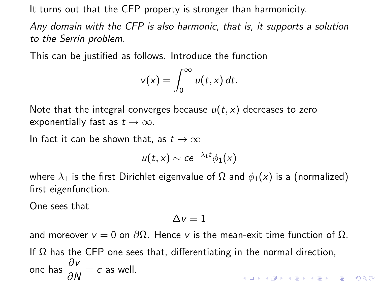Any domain with the CFP is also harmonic, that is, it supports a solution to the Serrin problem.

This can be justified as follows. Introduce the function

$$
v(x)=\int_0^\infty u(t,x)\,dt.
$$

Note that the integral converges because  $u(t, x)$  decreases to zero exponentially fast as  $t \to \infty$ .

In fact it can be shown that, as  $t \to \infty$ 

$$
u(t,x) \sim c e^{-\lambda_1 t} \phi_1(x)
$$

where  $\lambda_1$  is the first Dirichlet eigenvalue of  $\Omega$  and  $\phi_1(x)$  is a (normalized) first eigenfunction.

One sees that

$$
\Delta v = 1
$$

and moreover  $v = 0$  on  $\partial \Omega$ . Hence v is the mean-exit time function of  $\Omega$ . If  $\Omega$  has the CFP one sees that, differentiating in the normal direction, one has  $\frac{\partial v}{\partial N} = c$  as well. ।<br>ଏଠାତା ⊈ ଏ≘ାଏ ≝ା ଏକ ଏବା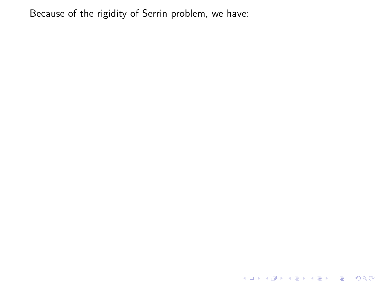K ロ ▶ K @ ▶ K 할 ▶ K 할 ▶ 이 할 → 9 Q @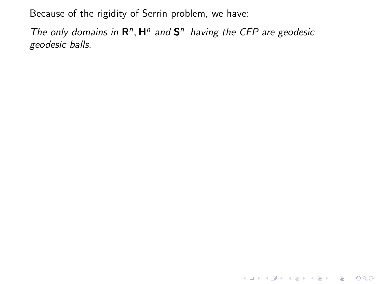The only domains in  $\mathbb{R}^n$ ,  $\mathbb{H}^n$  and  $\mathbb{S}^n_+$  having the CFP are geodesic geodesic balls.

KO KKOK KEK KEK LE I KORO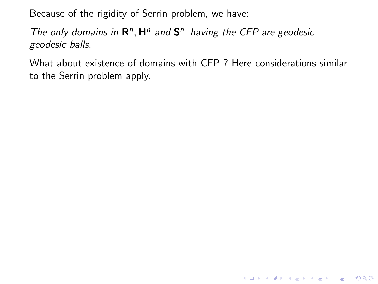The only domains in  $\mathbb{R}^n$ ,  $\mathbb{H}^n$  and  $\mathbb{S}^n_+$  having the CFP are geodesic geodesic balls.

What about existence of domains with CFP ? Here considerations similar to the Serrin problem apply.

**K ロ ▶ K @ ▶ K 할 X X 할 X → 할 X → 9 Q Q ^**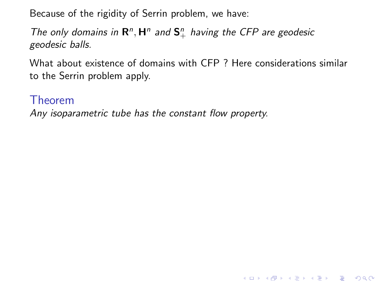The only domains in  $\mathbb{R}^n$ ,  $\mathbb{H}^n$  and  $\mathbb{S}^n_+$  having the CFP are geodesic geodesic balls.

What about existence of domains with CFP ? Here considerations similar to the Serrin problem apply.

K ロ ▶ K @ ▶ K 할 > K 할 > 1 할 > 1 이익어

Theorem

Any isoparametric tube has the constant flow property.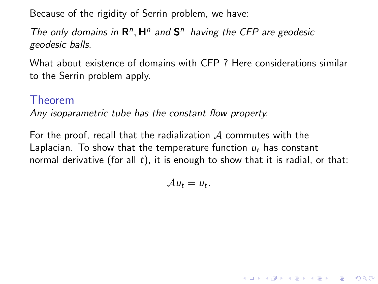The only domains in  $\mathbb{R}^n$ ,  $\mathbb{H}^n$  and  $\mathbb{S}^n_+$  having the CFP are geodesic geodesic balls.

What about existence of domains with CFP ? Here considerations similar to the Serrin problem apply.

### Theorem

Any isoparametric tube has the constant flow property.

For the proof, recall that the radialization  $A$  commutes with the Laplacian. To show that the temperature function  $u_t$  has constant normal derivative (for all  $t$ ), it is enough to show that it is radial, or that:

 $Au_t = u_t.$ 

4 D > 4 P + 4 B + 4 B + B + 9 Q O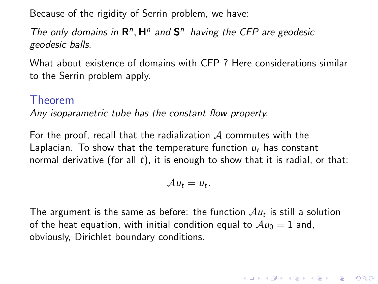The only domains in  $\mathbb{R}^n$ ,  $\mathbb{H}^n$  and  $\mathbb{S}^n_+$  having the CFP are geodesic geodesic balls.

What about existence of domains with CFP ? Here considerations similar to the Serrin problem apply.

### Theorem

Any isoparametric tube has the constant flow property.

For the proof, recall that the radialization  $A$  commutes with the Laplacian. To show that the temperature function  $u_t$  has constant normal derivative (for all  $t$ ), it is enough to show that it is radial, or that:

$$
\mathcal{A} u_t = u_t.
$$

The argument is the same as before: the function  $\mathcal{A}u_t$  is still a solution of the heat equation, with initial condition equal to  $Au_0 = 1$  and, obviously, Dirichlet boundary conditions.

4 D > 4 P + 4 B + 4 B + B + 9 Q O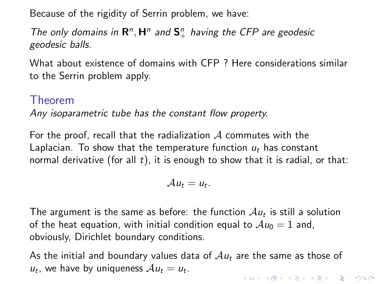The only domains in  $\mathbb{R}^n$ ,  $\mathbb{H}^n$  and  $\mathbb{S}^n_+$  having the CFP are geodesic geodesic balls.

What about existence of domains with CFP ? Here considerations similar to the Serrin problem apply.

### Theorem

Any isoparametric tube has the constant flow property.

For the proof, recall that the radialization  $A$  commutes with the Laplacian. To show that the temperature function  $u_t$  has constant normal derivative (for all  $t$ ), it is enough to show that it is radial, or that:

$$
\mathcal{A} u_t = u_t.
$$

The argument is the same as before: the function  $\mathcal{A}u_t$  is still a solution of the heat equation, with initial condition equal to  $Au_0 = 1$  and, obviously, Dirichlet boundary conditions.

As the initial and boundary values data of  $Au_t$  are the same as those of  $u_t$ , we have by uniqueness  $Au_t = u_t$ . 4 D > 4 P + 4 B + 4 B + B + 9 Q O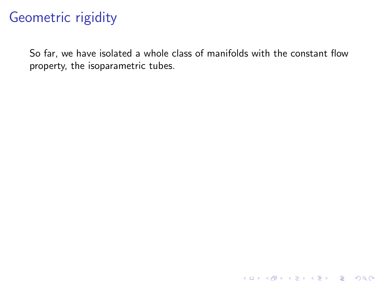# Geometric rigidity

So far, we have isolated a whole class of manifolds with the constant flow property, the isoparametric tubes.

K ロ ▶ K @ ▶ K 할 ▶ K 할 ▶ | 할 | © 9 Q @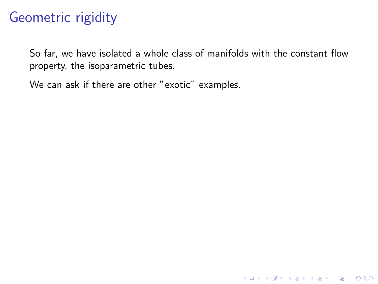So far, we have isolated a whole class of manifolds with the constant flow property, the isoparametric tubes.

K ロ ▶ K @ ▶ K 할 ▶ K 할 ▶ | 할 | © 9 Q @

We can ask if there are other "exotic" examples.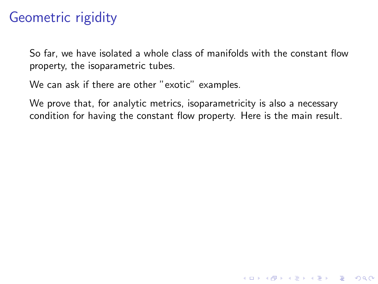So far, we have isolated a whole class of manifolds with the constant flow property, the isoparametric tubes.

We can ask if there are other "exotic" examples.

We prove that, for analytic metrics, isoparametricity is also a necessary condition for having the constant flow property. Here is the main result.

**KORK STRATER STRAKER**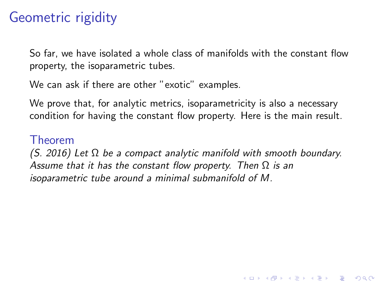So far, we have isolated a whole class of manifolds with the constant flow property, the isoparametric tubes.

We can ask if there are other "exotic" examples.

We prove that, for analytic metrics, isoparametricity is also a necessary condition for having the constant flow property. Here is the main result.

#### Theorem

(S. 2016) Let  $\Omega$  be a compact analytic manifold with smooth boundary. Assume that it has the constant flow property. Then  $\Omega$  is an isoparametric tube around a minimal submanifold of M.

**KORK ERKER ADE YOUR**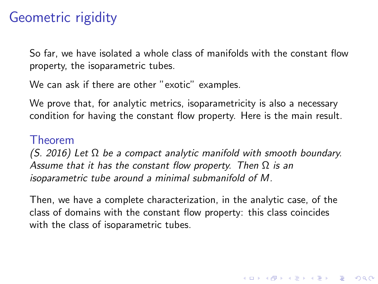So far, we have isolated a whole class of manifolds with the constant flow property, the isoparametric tubes.

We can ask if there are other "exotic" examples.

We prove that, for analytic metrics, isoparametricity is also a necessary condition for having the constant flow property. Here is the main result.

#### Theorem

 $(S. 2016)$  Let  $\Omega$  be a compact analytic manifold with smooth boundary. Assume that it has the constant flow property. Then  $\Omega$  is an isoparametric tube around a minimal submanifold of M.

Then, we have a complete characterization, in the analytic case, of the class of domains with the constant flow property: this class coincides with the class of isoparametric tubes.

**KORKAR KERKER E VOOR**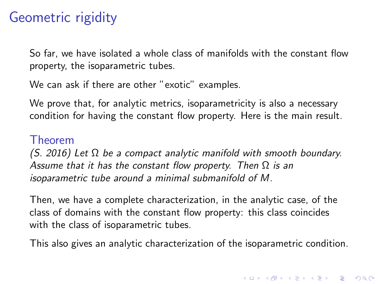So far, we have isolated a whole class of manifolds with the constant flow property, the isoparametric tubes.

We can ask if there are other "exotic" examples.

We prove that, for analytic metrics, isoparametricity is also a necessary condition for having the constant flow property. Here is the main result.

#### Theorem

(S. 2016) Let  $\Omega$  be a compact analytic manifold with smooth boundary. Assume that it has the constant flow property. Then  $\Omega$  is an isoparametric tube around a minimal submanifold of M.

Then, we have a complete characterization, in the analytic case, of the class of domains with the constant flow property: this class coincides with the class of isoparametric tubes.

This also gives an analytic characterization of the isoparametric condition.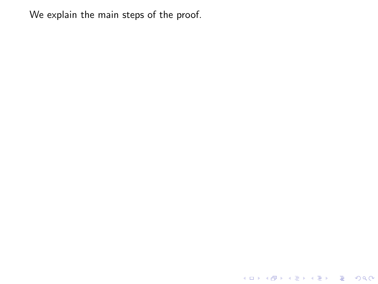K ロ X K 메 X K B X X B X X D X O Q Q O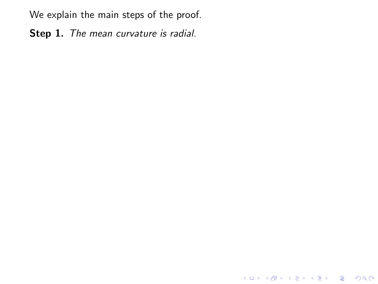Step 1. The mean curvature is radial.

K ロ ▶ K @ ▶ K 할 ▶ K 할 ▶ | 할 | 2000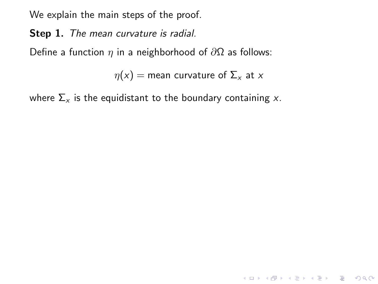Step 1. The mean curvature is radial.

Define a function  $\eta$  in a neighborhood of  $\partial\Omega$  as follows:

 $\eta(x)$  = mean curvature of  $\Sigma_x$  at x

**K ロ ▶ K @ ▶ K 할 X X 할 X 및 할 X X Q Q O \*** 

where  $\Sigma_{x}$  is the equidistant to the boundary containing x.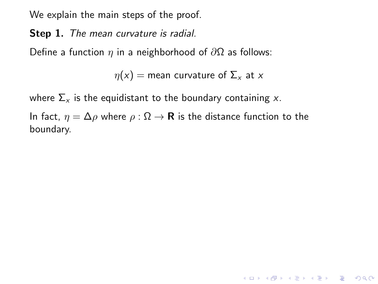Step 1. The mean curvature is radial.

Define a function  $\eta$  in a neighborhood of  $\partial\Omega$  as follows:

 $\eta(x)$  = mean curvature of  $\Sigma_{x}$  at x

K ロ ▶ K @ ▶ K 할 > K 할 > 1 할 > 1 이익어

where  $\Sigma_{x}$  is the equidistant to the boundary containing x.

In fact,  $\eta = \Delta \rho$  where  $\rho : \Omega \to \mathbf{R}$  is the distance function to the boundary.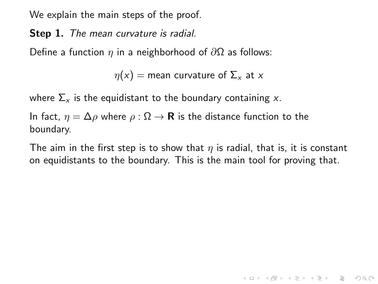Step 1. The mean curvature is radial.

Define a function  $\eta$  in a neighborhood of  $\partial\Omega$  as follows:

 $\eta(x)$  = mean curvature of  $\Sigma_{x}$  at x

where  $\Sigma_{x}$  is the equidistant to the boundary containing x.

In fact,  $\eta = \Delta \rho$  where  $\rho : \Omega \to \mathbf{R}$  is the distance function to the boundary.

The aim in the first step is to show that  $\eta$  is radial, that is, it is constant on equidistants to the boundary. This is the main tool for proving that.

**K ロ ▶ K @ ▶ K 할 X X 할 X 및 할 X X Q Q O**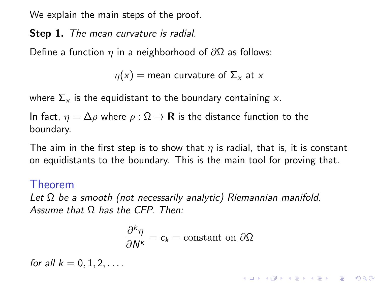Step 1. The mean curvature is radial.

Define a function  $\eta$  in a neighborhood of  $\partial\Omega$  as follows:

 $\eta(x)$  = mean curvature of  $\Sigma_{x}$  at x

where  $\Sigma_{x}$  is the equidistant to the boundary containing x.

In fact,  $\eta = \Delta \rho$  where  $\rho : \Omega \to \mathbf{R}$  is the distance function to the boundary.

The aim in the first step is to show that  $\eta$  is radial, that is, it is constant on equidistants to the boundary. This is the main tool for proving that.

#### Theorem

Let  $\Omega$  be a smooth (not necessarily analytic) Riemannian manifold. Assume that  $\Omega$  has the CFP. Then:

$$
\frac{\partial^k \eta}{\partial N^k} = c_k = \text{constant on } \partial \Omega
$$

KID KA KERKER KID KO

for all  $k = 0, 1, 2, \ldots$ .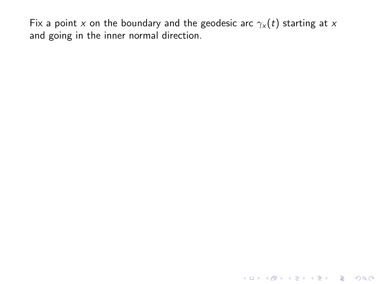KOX KOX KEX KEX E 1990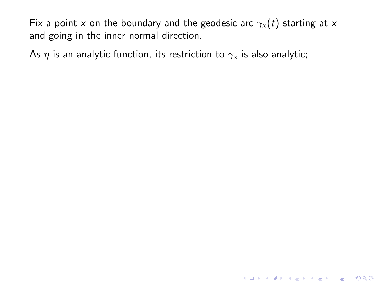As  $\eta$  is an analytic function, its restriction to  $\gamma_x$  is also analytic;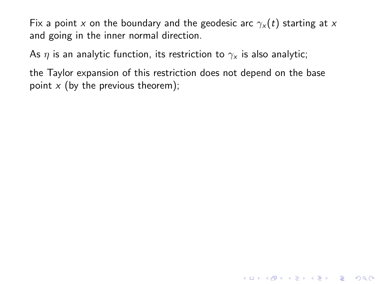As  $\eta$  is an analytic function, its restriction to  $\gamma_x$  is also analytic;

the Taylor expansion of this restriction does not depend on the base point  $x$  (by the previous theorem);

**K ロ ▶ K @ ▶ K 할 X X 할 X 및 할 X X Q Q O**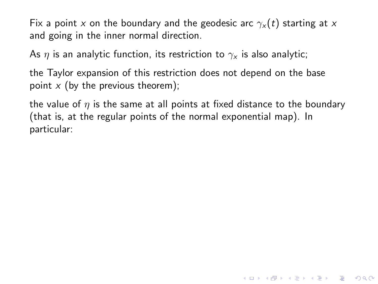As  $\eta$  is an analytic function, its restriction to  $\gamma_{\mathsf{x}}$  is also analytic;

the Taylor expansion of this restriction does not depend on the base point  $x$  (by the previous theorem);

the value of  $\eta$  is the same at all points at fixed distance to the boundary (that is, at the regular points of the normal exponential map). In particular:

4 D > 4 P + 4 B + 4 B + B + 9 Q O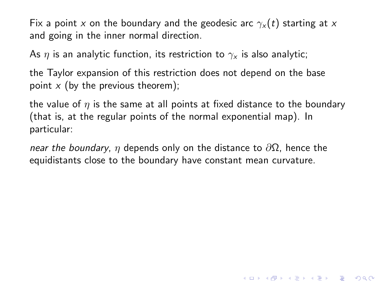As  $\eta$  is an analytic function, its restriction to  $\gamma_{\mathsf{x}}$  is also analytic;

the Taylor expansion of this restriction does not depend on the base point  $x$  (by the previous theorem);

the value of  $\eta$  is the same at all points at fixed distance to the boundary (that is, at the regular points of the normal exponential map). In particular:

4 D > 4 P + 4 B + 4 B + B + 9 Q O

near the boundary, η depends only on the distance to  $\partial\Omega$ , hence the equidistants close to the boundary have constant mean curvature.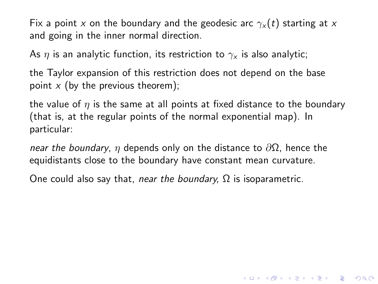As  $\eta$  is an analytic function, its restriction to  $\gamma_{\mathsf{x}}$  is also analytic;

the Taylor expansion of this restriction does not depend on the base point  $x$  (by the previous theorem);

the value of  $\eta$  is the same at all points at fixed distance to the boundary (that is, at the regular points of the normal exponential map). In particular:

4 D > 4 P + 4 B + 4 B + B + 9 Q O

near the boundary, η depends only on the distance to  $\partial\Omega$ , hence the equidistants close to the boundary have constant mean curvature.

One could also say that, near the boundary,  $\Omega$  is isoparametric.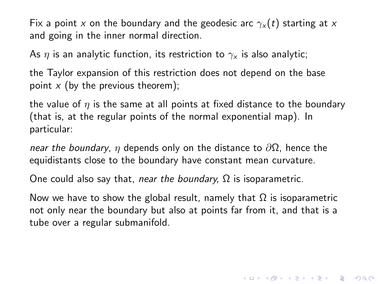As  $\eta$  is an analytic function, its restriction to  $\gamma_{\mathsf{x}}$  is also analytic;

the Taylor expansion of this restriction does not depend on the base point  $x$  (by the previous theorem);

the value of  $\eta$  is the same at all points at fixed distance to the boundary (that is, at the regular points of the normal exponential map). In particular:

near the boundary, η depends only on the distance to  $\partial\Omega$ , hence the equidistants close to the boundary have constant mean curvature.

One could also say that, near the boundary,  $\Omega$  is isoparametric.

Now we have to show the global result, namely that  $Ω$  is isoparametric not only near the boundary but also at points far from it, and that is a tube over a regular submanifold.

4 D > 4 P + 4 B + 4 B + B + 9 Q O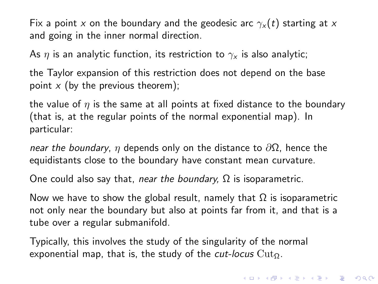As  $\eta$  is an analytic function, its restriction to  $\gamma_{\mathsf{x}}$  is also analytic;

the Taylor expansion of this restriction does not depend on the base point  $x$  (by the previous theorem);

the value of  $\eta$  is the same at all points at fixed distance to the boundary (that is, at the regular points of the normal exponential map). In particular:

near the boundary, η depends only on the distance to  $\partial\Omega$ , hence the equidistants close to the boundary have constant mean curvature.

One could also say that, near the boundary,  $\Omega$  is isoparametric.

Now we have to show the global result, namely that  $Ω$  is isoparametric not only near the boundary but also at points far from it, and that is a tube over a regular submanifold.

Typically, this involves the study of the singularity of the normal exponential map, that is, the study of the *cut-locus* Cut $_{\Omega}$ .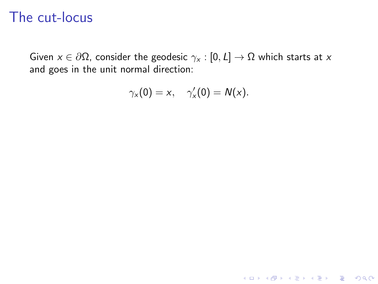Given  $x \in \partial\Omega$ , consider the geodesic  $\gamma_x : [0, L] \to \Omega$  which starts at x and goes in the unit normal direction:

$$
\gamma_x(0)=x,\quad \gamma_x'(0)=N(x).
$$

K ロ ▶ K @ ▶ K 할 ▶ K 할 ▶ | 할 | © 9 Q @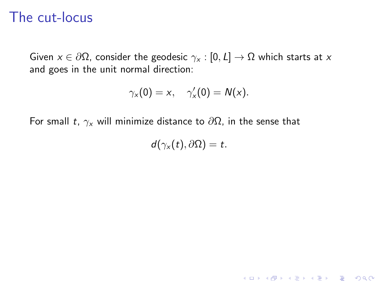Given  $x \in \partial \Omega$ , consider the geodesic  $\gamma_x : [0, L] \to \Omega$  which starts at x and goes in the unit normal direction:

$$
\gamma_x(0)=x,\quad \gamma_x'(0)=N(x).
$$

For small t,  $\gamma_x$  will minimize distance to  $\partial\Omega$ , in the sense that

$$
d(\gamma_x(t),\partial\Omega)=t.
$$

K ロ ▶ K @ ▶ K 할 ▶ K 할 ▶ | 할 | © 9 Q @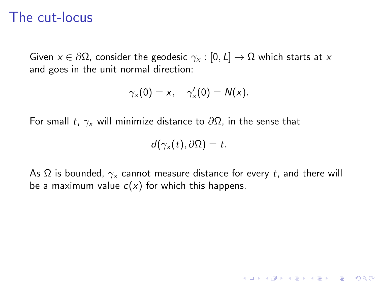Given  $x \in \partial \Omega$ , consider the geodesic  $\gamma_x : [0, L] \to \Omega$  which starts at x and goes in the unit normal direction:

$$
\gamma_x(0)=x,\quad \gamma_x'(0)=N(x).
$$

For small t,  $\gamma_x$  will minimize distance to  $\partial\Omega$ , in the sense that

$$
d(\gamma_x(t),\partial\Omega)=t.
$$

As  $\Omega$  is bounded,  $\gamma_x$  cannot measure distance for every t, and there will be a maximum value  $c(x)$  for which this happens.

K ロ ▶ K @ ▶ K 할 > K 할 > 1 할 > 1 이익어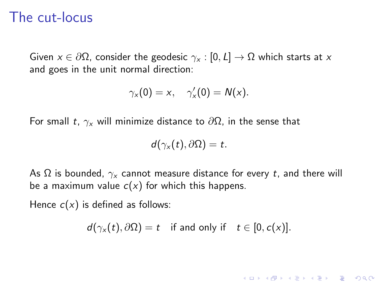Given  $x \in \partial\Omega$ , consider the geodesic  $\gamma_x : [0, L] \to \Omega$  which starts at x and goes in the unit normal direction:

$$
\gamma_x(0)=x,\quad \gamma_x'(0)=N(x).
$$

For small t,  $\gamma_x$  will minimize distance to  $\partial\Omega$ , in the sense that

$$
d(\gamma_x(t),\partial\Omega)=t.
$$

As  $\Omega$  is bounded,  $\gamma_{\mathsf{x}}$  cannot measure distance for every t, and there will be a maximum value  $c(x)$  for which this happens.

Hence  $c(x)$  is defined as follows:

 $d(\gamma_x(t), \partial \Omega) = t$  if and only if  $t \in [0, c(x)]$ .

**KORKAR KERKER EL VOLO**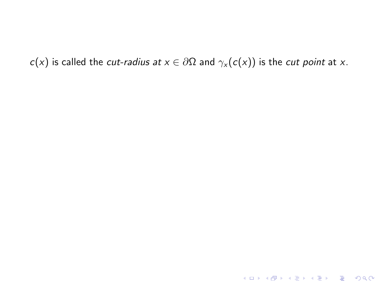$c(x)$  is called the *cut-radius at*  $x \in \partial \Omega$  and  $\gamma_x(c(x))$  is the *cut point* at x.

KID KAR KE KE KE A BI YA GI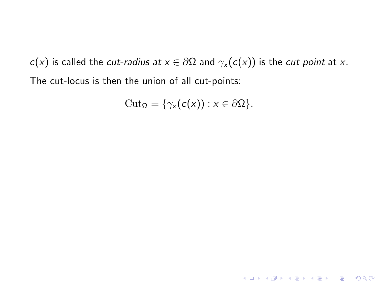$$
\mathrm{Cut}_{\Omega} = \{ \gamma_x(c(x)) : x \in \partial \Omega \}.
$$

KOX KOX KEX KEX E 1990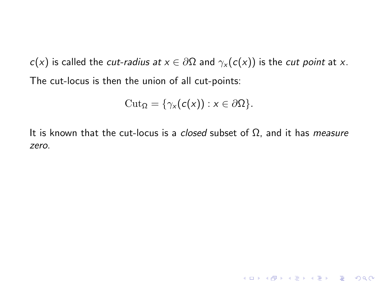$$
\mathrm{Cut}_{\Omega} = \{ \gamma_x(c(x)) : x \in \partial \Omega \}.
$$

It is known that the cut-locus is a *closed* subset of  $\Omega$ , and it has *measure* zero.

K ロ X K (P) X (E) X (E) X (E) X (P) Q (P)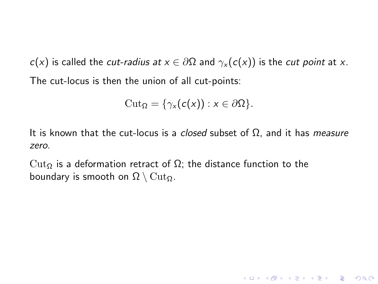$$
\mathrm{Cut}_{\Omega} = \{ \gamma_x(c(x)) : x \in \partial \Omega \}.
$$

It is known that the cut-locus is a *closed* subset of  $\Omega$ , and it has *measure* zero.

K ロ ▶ K @ ▶ K 할 ▶ K 할 ▶ | 할 | © 9 Q @

Cut<sub>Ω</sub> is a deformation retract of  $Ω$ ; the distance function to the boundary is smooth on  $\Omega \setminus \mathrm{Cut}_{\Omega}$ .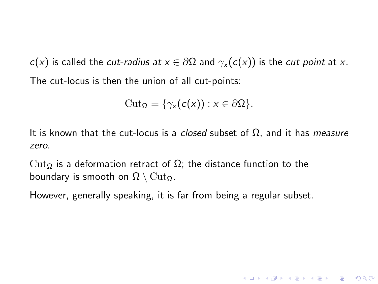$$
\mathrm{Cut}_{\Omega} = \{ \gamma_x(c(x)) : x \in \partial \Omega \}.
$$

It is known that the cut-locus is a *closed* subset of  $\Omega$ , and it has *measure* zero.

**K ロ ▶ K @ ▶ K 할 X X 할 X → 할 X → 9 Q Q ^** 

Cut<sub>Ω</sub> is a deformation retract of  $Ω$ ; the distance function to the boundary is smooth on  $\Omega \setminus \mathrm{Cut}_\Omega$ .

However, generally speaking, it is far from being a regular subset.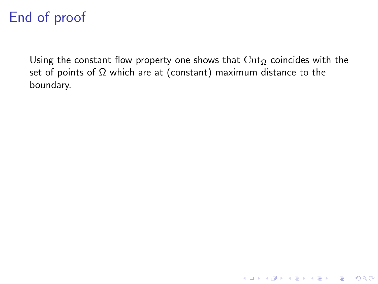Using the constant flow property one shows that  $\text{Cut}_{\Omega}$  coincides with the set of points of  $\Omega$  which are at (constant) maximum distance to the boundary.

K ロ ▶ K @ ▶ K 할 ▶ K 할 ▶ | 할 | © 9 Q @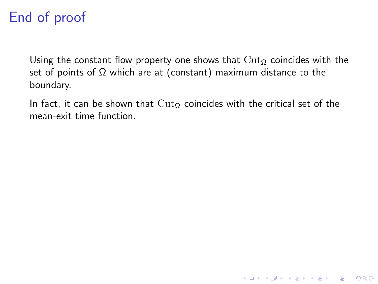Using the constant flow property one shows that  $\text{Cut}_{\Omega}$  coincides with the set of points of  $\Omega$  which are at (constant) maximum distance to the boundary.

In fact, it can be shown that  $\text{Cut}_{\Omega}$  coincides with the critical set of the mean-exit time function.

**KORKA SERKER ORA**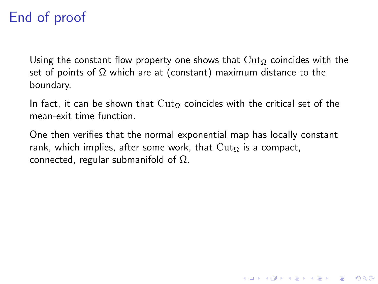Using the constant flow property one shows that  $\text{Cut}_{\Omega}$  coincides with the set of points of  $\Omega$  which are at (constant) maximum distance to the boundary.

In fact, it can be shown that  $\text{Cut}_{\Omega}$  coincides with the critical set of the mean-exit time function.

One then verifies that the normal exponential map has locally constant rank, which implies, after some work, that  $\text{Cut}_{\Omega}$  is a compact, connected, regular submanifold of Ω.

**KORK ERKER ADE YOUR**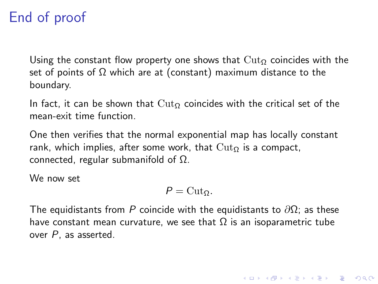Using the constant flow property one shows that  $\text{Cut}_{\Omega}$  coincides with the set of points of  $\Omega$  which are at (constant) maximum distance to the boundary.

In fact, it can be shown that  $\text{Cut}_{\Omega}$  coincides with the critical set of the mean-exit time function.

One then verifies that the normal exponential map has locally constant rank, which implies, after some work, that  $\text{Cut}_{\Omega}$  is a compact, connected, regular submanifold of Ω.

We now set

$$
P=\mathrm{Cut}_{\Omega}.
$$

The equidistants from P coincide with the equidistants to  $\partial\Omega$ ; as these have constant mean curvature, we see that  $\Omega$  is an isoparametric tube over P, as asserted.

4 D > 4 P + 4 B + 4 B + B + 9 Q O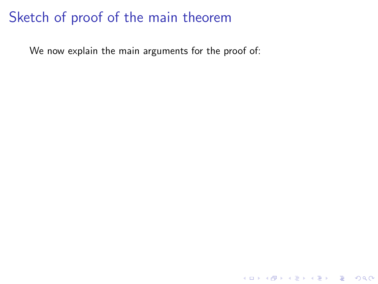We now explain the main arguments for the proof of:

K ロ ▶ K @ ▶ K 할 ▶ K 할 ▶ | 할 | ⊙Q @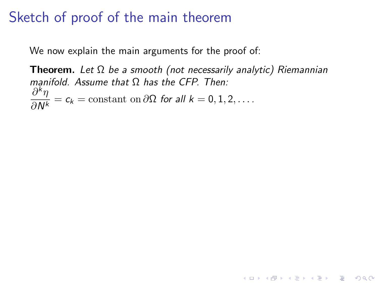We now explain the main arguments for the proof of:

Theorem. Let  $\Omega$  be a smooth (not necessarily analytic) Riemannian manifold. Assume that  $\Omega$  has the CFP. Then:  $\partial^k \eta$  $\frac{\partial^2 H}{\partial N^k} = c_k = \text{constant on } \partial \Omega \text{ for all } k = 0, 1, 2, \dots$ 

**K ロ ▶ K @ ▶ K 할 X X 할 X → 할 X → 9 Q Q ^**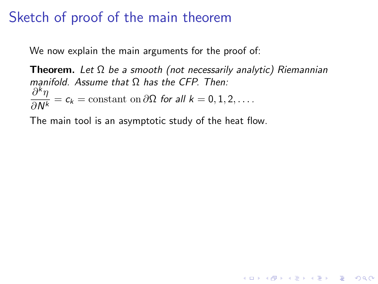We now explain the main arguments for the proof of:

**Theorem.** Let  $\Omega$  be a smooth (not necessarily analytic) Riemannian manifold. Assume that  $\Omega$  has the CFP. Then:  $\partial^k \eta$  $\frac{\partial^2 H}{\partial N^k} = c_k = \text{constant on } \partial \Omega \text{ for all } k = 0, 1, 2, \dots$ 

**K ロ ▶ K @ ▶ K 할 X X 할 X → 할 X → 9 Q Q ^** 

The main tool is an asymptotic study of the heat flow.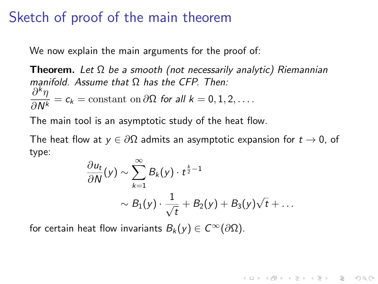We now explain the main arguments for the proof of:

**Theorem.** Let  $\Omega$  be a smooth (not necessarily analytic) Riemannian manifold. Assume that Ω has the CFP. Then:  $\partial^k \eta$  $\frac{\partial^2 H}{\partial N^k} = c_k = \text{constant on } \partial \Omega \text{ for all } k = 0, 1, 2, \dots$ 

The main tool is an asymptotic study of the heat flow.

The heat flow at  $y \in \partial \Omega$  admits an asymptotic expansion for  $t \to 0$ , of type:

$$
\frac{\partial u_t}{\partial N}(y) \sim \sum_{k=1}^{\infty} B_k(y) \cdot t^{\frac{k}{2}-1}
$$

$$
\sim B_1(y) \cdot \frac{1}{\sqrt{t}} + B_2(y) + B_3(y) \sqrt{t} + \dots
$$

4 D > 4 P + 4 B + 4 B + B + 9 Q O

for certain heat flow invariants  $B_k(y) \in C^\infty(\partial\Omega)$ .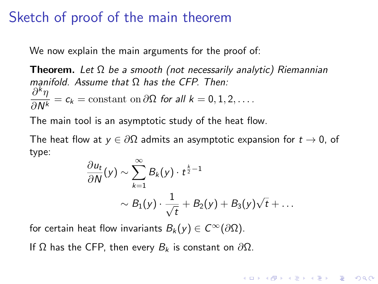## Sketch of proof of the main theorem

We now explain the main arguments for the proof of:

**Theorem.** Let  $\Omega$  be a smooth (not necessarily analytic) Riemannian manifold. Assume that Ω has the CFP. Then:  $\partial^k \eta$  $\frac{\partial^2 H}{\partial N^k} = c_k = \text{constant on } \partial \Omega \text{ for all } k = 0, 1, 2, \dots$ 

The main tool is an asymptotic study of the heat flow.

The heat flow at  $y \in \partial \Omega$  admits an asymptotic expansion for  $t \to 0$ , of type:

$$
\frac{\partial u_t}{\partial N}(y) \sim \sum_{k=1}^{\infty} B_k(y) \cdot t^{\frac{k}{2}-1}
$$

$$
\sim B_1(y) \cdot \frac{1}{\sqrt{t}} + B_2(y) + B_3(y) \sqrt{t} + \dots
$$

**KORK (FRAGE) EL POLO** 

for certain heat flow invariants  $B_k(y) \in C^\infty(\partial\Omega)$ .

If Ω has the CFP, then every  $B_k$  is constant on  $\partial\Omega$ .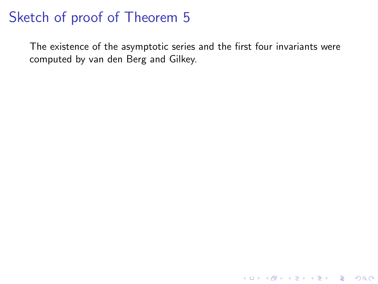The existence of the asymptotic series and the first four invariants were computed by van den Berg and Gilkey.

KO KKOK KEK KEK LE I KORO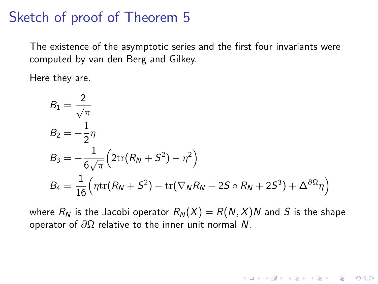The existence of the asymptotic series and the first four invariants were computed by van den Berg and Gilkey.

Here they are.

$$
B_1 = \frac{2}{\sqrt{\pi}}
$$
  
\n
$$
B_2 = -\frac{1}{2}\eta
$$
  
\n
$$
B_3 = -\frac{1}{6\sqrt{\pi}} \left(2\text{tr}(R_N + S^2) - \eta^2\right)
$$
  
\n
$$
B_4 = \frac{1}{16} \left(\eta \text{tr}(R_N + S^2) - \text{tr}(\nabla_N R_N + 2S \circ R_N + 2S^3) + \Delta^{\partial \Omega} \eta\right)
$$

where  $R_N$  is the Jacobi operator  $R_N(X) = R(N, X)N$  and S is the shape operator of  $\partial\Omega$  relative to the inner unit normal N.

K ロ ▶ K @ ▶ K 할 > K 할 > 1 할 > 1 이익어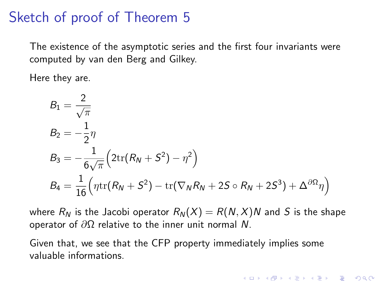The existence of the asymptotic series and the first four invariants were computed by van den Berg and Gilkey.

Here they are.

$$
B_1 = \frac{2}{\sqrt{\pi}}
$$
  
\n
$$
B_2 = -\frac{1}{2}\eta
$$
  
\n
$$
B_3 = -\frac{1}{6\sqrt{\pi}} \left(2\text{tr}(R_N + S^2) - \eta^2\right)
$$
  
\n
$$
B_4 = \frac{1}{16} \left(\eta \text{tr}(R_N + S^2) - \text{tr}(\nabla_N R_N + 2S \circ R_N + 2S^3) + \Delta^{\partial \Omega} \eta\right)
$$

where  $R_N$  is the Jacobi operator  $R_N(X) = R(N, X)N$  and S is the shape operator of  $\partial\Omega$  relative to the inner unit normal N.

4 D > 4 P + 4 B + 4 B + B + 9 Q O

Given that, we see that the CFP property immediately implies some valuable informations.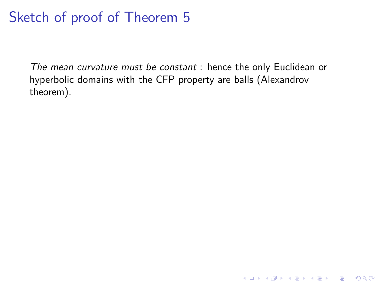The mean curvature must be constant : hence the only Euclidean or hyperbolic domains with the CFP property are balls (Alexandrov theorem).

K ロ ▶ K @ ▶ K 할 ▶ K 할 ▶ | 할 | © 9 Q @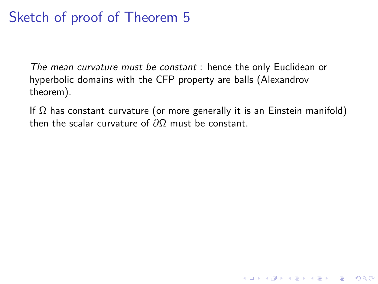The mean curvature must be constant : hence the only Euclidean or hyperbolic domains with the CFP property are balls (Alexandrov theorem).

If  $\Omega$  has constant curvature (or more generally it is an Einstein manifold) then the scalar curvature of  $\partial\Omega$  must be constant.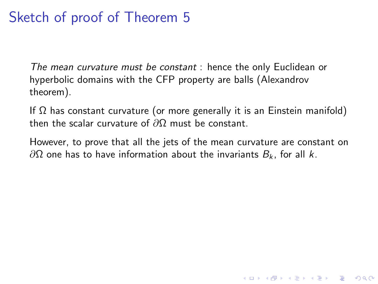The mean curvature must be constant : hence the only Euclidean or hyperbolic domains with the CFP property are balls (Alexandrov theorem).

If  $\Omega$  has constant curvature (or more generally it is an Einstein manifold) then the scalar curvature of  $\partial\Omega$  must be constant.

However, to prove that all the jets of the mean curvature are constant on  $\partial\Omega$  one has to have information about the invariants  $B_k$ , for all k.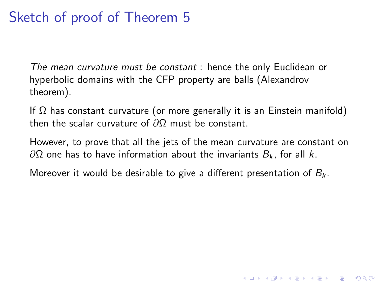The mean curvature must be constant : hence the only Euclidean or hyperbolic domains with the CFP property are balls (Alexandrov theorem).

If  $\Omega$  has constant curvature (or more generally it is an Einstein manifold) then the scalar curvature of  $\partial\Omega$  must be constant.

However, to prove that all the jets of the mean curvature are constant on  $\partial\Omega$  one has to have information about the invariants  $B_k$ , for all k.

**KORKA SERKER ORA** 

Moreover it would be desirable to give a different presentation of  $B_k$ .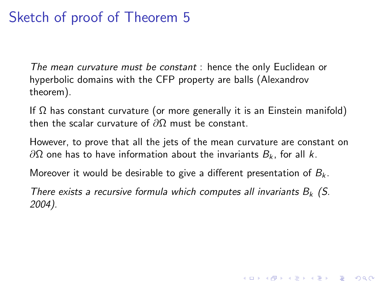The mean curvature must be constant : hence the only Euclidean or hyperbolic domains with the CFP property are balls (Alexandrov theorem).

If  $\Omega$  has constant curvature (or more generally it is an Einstein manifold) then the scalar curvature of  $\partial\Omega$  must be constant.

However, to prove that all the jets of the mean curvature are constant on  $\partial\Omega$  one has to have information about the invariants  $B_k$ , for all k.

Moreover it would be desirable to give a different presentation of  $B_k$ .

There exists a recursive formula which computes all invariants  $B_k$  (S. 2004).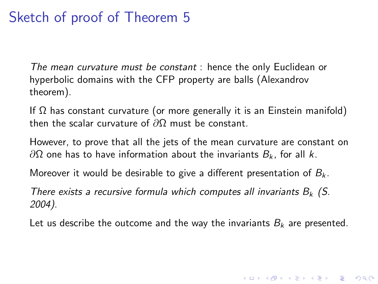The mean curvature must be constant : hence the only Euclidean or hyperbolic domains with the CFP property are balls (Alexandrov theorem).

If  $\Omega$  has constant curvature (or more generally it is an Einstein manifold) then the scalar curvature of  $\partial\Omega$  must be constant.

However, to prove that all the jets of the mean curvature are constant on  $\partial\Omega$  one has to have information about the invariants  $B_k$ , for all k.

Moreover it would be desirable to give a different presentation of  $B_k$ .

There exists a recursive formula which computes all invariants  $B_k$  (S. 2004).

Let us describe the outcome and the way the invariants  $B_k$  are presented.

4 D > 4 P + 4 B + 4 B + B + 9 Q O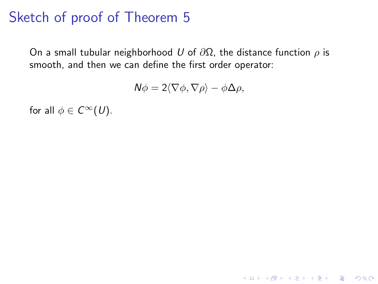On a small tubular neighborhood U of  $\partial\Omega$ , the distance function  $\rho$  is smooth, and then we can define the first order operator:

$$
N\phi = 2\langle \nabla \phi, \nabla \rho \rangle - \phi \Delta \rho,
$$

K ロ ▶ K @ ▶ K 할 ▶ K 할 ▶ | 할 | © 9 Q @

for all  $\phi \in C^{\infty}(U)$ .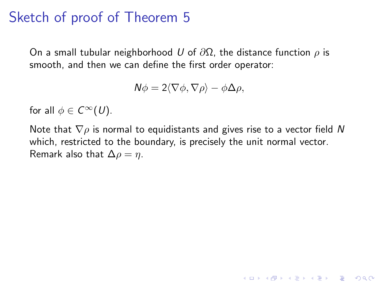On a small tubular neighborhood U of  $\partial\Omega$ , the distance function  $\rho$  is smooth, and then we can define the first order operator:

$$
N\phi = 2\langle \nabla \phi, \nabla \rho \rangle - \phi \Delta \rho,
$$

for all  $\phi \in C^{\infty}(U)$ .

Note that  $\nabla \rho$  is normal to equidistants and gives rise to a vector field N which, restricted to the boundary, is precisely the unit normal vector. Remark also that  $\Delta \rho = \eta$ .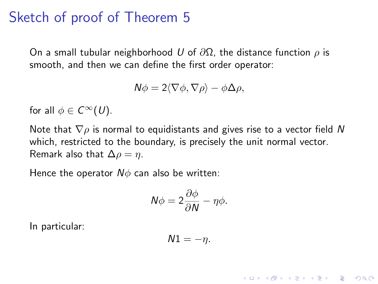On a small tubular neighborhood U of  $\partial\Omega$ , the distance function  $\rho$  is smooth, and then we can define the first order operator:

$$
N\phi = 2\langle \nabla \phi, \nabla \rho \rangle - \phi \Delta \rho,
$$

for all  $\phi \in C^{\infty}(U)$ .

Note that  $\nabla \rho$  is normal to equidistants and gives rise to a vector field N which, restricted to the boundary, is precisely the unit normal vector. Remark also that  $\Delta \rho = \eta$ .

Hence the operator  $N\phi$  can also be written:

$$
N\phi = 2\frac{\partial \phi}{\partial N} - \eta \phi.
$$

In particular:

$$
N1=-\eta.
$$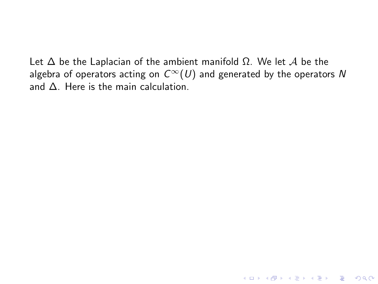Let  $\Delta$  be the Laplacian of the ambient manifold  $\Omega$ . We let A be the algebra of operators acting on  $C^{\infty}(U)$  and generated by the operators N and ∆. Here is the main calculation.

K ロ ▶ K @ ▶ K 할 ▶ K 할 ▶ | 할 | © 9 Q @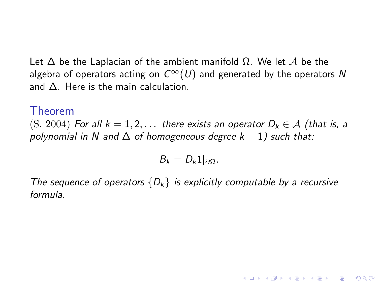Let  $\Delta$  be the Laplacian of the ambient manifold  $\Omega$ . We let A be the algebra of operators acting on  $C^{\infty}(U)$  and generated by the operators N and ∆. Here is the main calculation.

#### Theorem

(S. 2004) For all  $k = 1, 2, \ldots$  there exists an operator  $D_k \in \mathcal{A}$  (that is, a polynomial in N and  $\Delta$  of homogeneous degree  $k - 1$ ) such that:

$$
B_k=D_k1|_{\partial\Omega}.
$$

The sequence of operators  $\{D_k\}$  is explicitly computable by a recursive formula.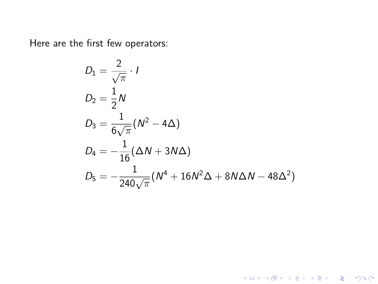Here are the first few operators:

$$
D_1 = \frac{2}{\sqrt{\pi}} \cdot I
$$
  
\n
$$
D_2 = \frac{1}{2}N
$$
  
\n
$$
D_3 = \frac{1}{6\sqrt{\pi}}(N^2 - 4\Delta)
$$
  
\n
$$
D_4 = -\frac{1}{16}(\Delta N + 3N\Delta)
$$
  
\n
$$
D_5 = -\frac{1}{240\sqrt{\pi}}(N^4 + 16N^2\Delta + 8N\Delta N - 48\Delta^2)
$$

K ロ X K 메 X K B X X B X X D X O Q Q O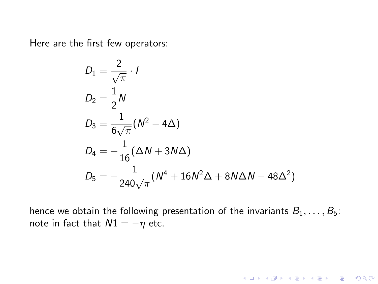Here are the first few operators:

$$
D_1 = \frac{2}{\sqrt{\pi}} \cdot I
$$
  
\n
$$
D_2 = \frac{1}{2}N
$$
  
\n
$$
D_3 = \frac{1}{6\sqrt{\pi}}(N^2 - 4\Delta)
$$
  
\n
$$
D_4 = -\frac{1}{16}(\Delta N + 3N\Delta)
$$
  
\n
$$
D_5 = -\frac{1}{240\sqrt{\pi}}(N^4 + 16N^2\Delta + 8N\Delta N - 48\Delta^2)
$$

hence we obtain the following presentation of the invariants  $B_1, \ldots, B_5$ : note in fact that  $N1 = -\eta$  etc.

KOX KOX KEX KEX E 1990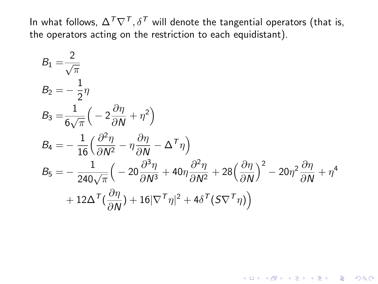In what follows,  $\Delta^T \nabla^T, \delta^T$  will denote the tangential operators (that is, the operators acting on the restriction to each equidistant).

$$
B_1 = \frac{2}{\sqrt{\pi}}
$$
  
\n
$$
B_2 = -\frac{1}{2}\eta
$$
  
\n
$$
B_3 = \frac{1}{6\sqrt{\pi}} \left( -2\frac{\partial \eta}{\partial N} + \eta^2 \right)
$$
  
\n
$$
B_4 = -\frac{1}{16} \left( \frac{\partial^2 \eta}{\partial N^2} - \eta \frac{\partial \eta}{\partial N} - \Delta^T \eta \right)
$$
  
\n
$$
B_5 = -\frac{1}{240\sqrt{\pi}} \left( -20\frac{\partial^3 \eta}{\partial N^3} + 40\eta \frac{\partial^2 \eta}{\partial N^2} + 28\left(\frac{\partial \eta}{\partial N}\right)^2 - 20\eta^2 \frac{\partial \eta}{\partial N} + \eta^4
$$
  
\n
$$
+ 12\Delta^T \left( \frac{\partial \eta}{\partial N} \right) + 16|\nabla^T \eta|^2 + 4\delta^T (S\nabla^T \eta) \right)
$$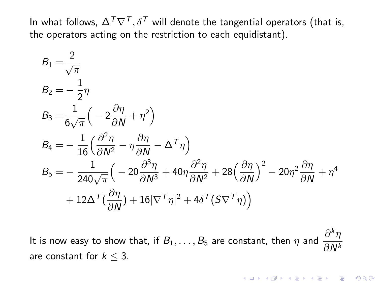In what follows,  $\Delta^T \nabla^T$ ,  $\delta^T$  will denote the tangential operators (that is, the operators acting on the restriction to each equidistant).

$$
B_1 = \frac{2}{\sqrt{\pi}}
$$
  
\n
$$
B_2 = -\frac{1}{2}\eta
$$
  
\n
$$
B_3 = \frac{1}{6\sqrt{\pi}} \left( -2\frac{\partial \eta}{\partial N} + \eta^2 \right)
$$
  
\n
$$
B_4 = -\frac{1}{16} \left( \frac{\partial^2 \eta}{\partial N^2} - \eta \frac{\partial \eta}{\partial N} - \Delta^T \eta \right)
$$
  
\n
$$
B_5 = -\frac{1}{240\sqrt{\pi}} \left( -20\frac{\partial^3 \eta}{\partial N^3} + 40\eta \frac{\partial^2 \eta}{\partial N^2} + 28\left(\frac{\partial \eta}{\partial N}\right)^2 - 20\eta^2 \frac{\partial \eta}{\partial N} + \eta^4
$$
  
\n
$$
+ 12\Delta^T \left( \frac{\partial \eta}{\partial N} \right) + 16|\nabla^T \eta|^2 + 4\delta^T (S\nabla^T \eta) \right)
$$

It is now easy to show that, if  $B_1, \ldots, B_5$  are constant, then  $\eta$  and  $\frac{\partial^k \eta}{\partial \Lambda^k}$ ∂N<sup>k</sup> are constant for  $k < 3$ .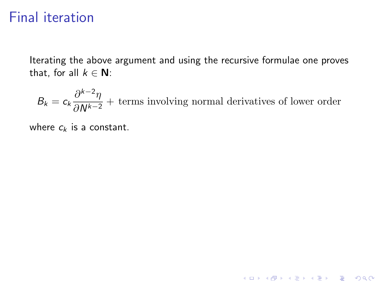Iterating the above argument and using the recursive formulae one proves that, for all  $k \in \mathbb{N}$ :

$$
B_k = c_k \frac{\partial^{k-2}\eta}{\partial N^{k-2}} + \text{ terms involving normal derivatives of lower order}
$$

K ロ ▶ K @ ▶ K 할 ▶ K 할 ▶ | 할 | ⊙Q @

where  $c_k$  is a constant.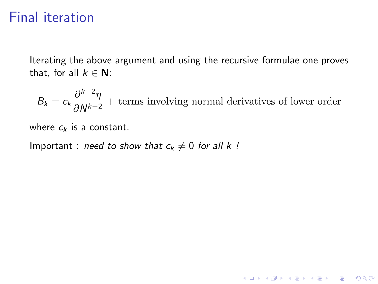Iterating the above argument and using the recursive formulae one proves that, for all  $k \in \mathbb{N}$ :

$$
B_k = c_k \frac{\partial^{k-2}\eta}{\partial N^{k-2}} + \text{ terms involving normal derivatives of lower order}
$$

K ロ ▶ K @ ▶ K 할 ▶ K 할 ▶ | 할 | © 9 Q @

where  $c_k$  is a constant.

Important : need to show that  $c_k \neq 0$  for all k !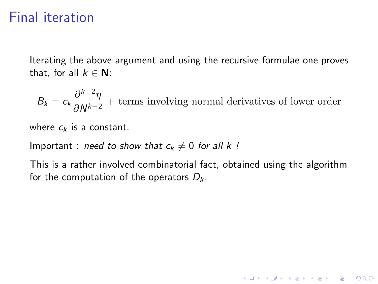Iterating the above argument and using the recursive formulae one proves that, for all  $k \in \mathbb{N}$ :

$$
B_k = c_k \frac{\partial^{k-2}\eta}{\partial N^{k-2}} + \text{ terms involving normal derivatives of lower order}
$$

where  $c_k$  is a constant.

Important : need to show that  $c_k \neq 0$  for all k !

This is a rather involved combinatorial fact, obtained using the algorithm for the computation of the operators  $D_k$ .

K ロ ▶ K @ ▶ K 할 > K 할 > 1 할 > 1 이익어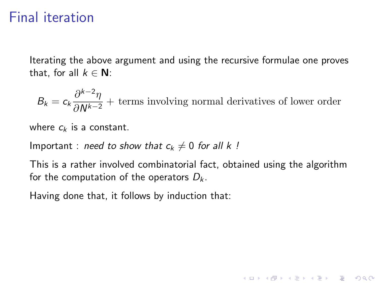Iterating the above argument and using the recursive formulae one proves that, for all  $k \in \mathbb{N}$ :

 $B_k = c_k \frac{\partial^{k-2} \eta}{\partial N^{k-2}}$  $\frac{\partial u}{\partial N^{k-2}}$  + terms involving normal derivatives of lower order

where  $c_k$  is a constant.

Important : need to show that  $c_k \neq 0$  for all k !

This is a rather involved combinatorial fact, obtained using the algorithm for the computation of the operators  $D_k$ .

4 D > 4 P + 4 B + 4 B + B + 9 Q O

Having done that, it follows by induction that: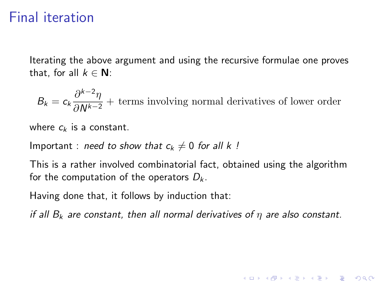Iterating the above argument and using the recursive formulae one proves that, for all  $k \in \mathbb{N}$ :

 $B_k = c_k \frac{\partial^{k-2} \eta}{\partial N^{k-2}}$  $\frac{\partial u}{\partial N^{k-2}}$  + terms involving normal derivatives of lower order

where  $c_k$  is a constant.

Important : need to show that  $c_k \neq 0$  for all k !

This is a rather involved combinatorial fact, obtained using the algorithm for the computation of the operators  $D_k$ .

Having done that, it follows by induction that:

if all  $B_k$  are constant, then all normal derivatives of  $\eta$  are also constant.

**KORKAR KERKER E VOOR**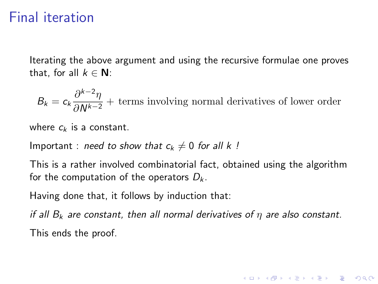Iterating the above argument and using the recursive formulae one proves that, for all  $k \in \mathbb{N}$ :

 $B_k = c_k \frac{\partial^{k-2} \eta}{\partial N^{k-2}}$  $\frac{\partial u}{\partial N^{k-2}}$  + terms involving normal derivatives of lower order

where  $c_k$  is a constant.

Important : need to show that  $c_k \neq 0$  for all k !

This is a rather involved combinatorial fact, obtained using the algorithm for the computation of the operators  $D_k$ .

Having done that, it follows by induction that:

if all  $B_k$  are constant, then all normal derivatives of  $\eta$  are also constant. This ends the proof.

**KORKAR KERKER E VOOR**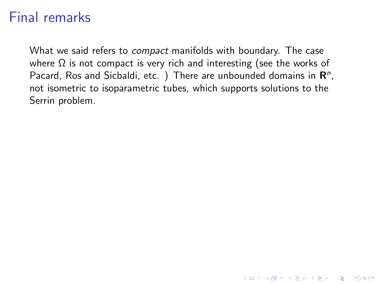### Final remarks

What we said refers to *compact* manifolds with boundary. The case where  $\Omega$  is not compact is very rich and interesting (see the works of Pacard, Ros and Sicbaldi, etc. ) There are unbounded domains in  $\mathbf{R}^n$ , not isometric to isoparametric tubes, which supports solutions to the Serrin problem.

K ロ ▶ K @ ▶ K 할 > K 할 > 1 할 > 1 이익어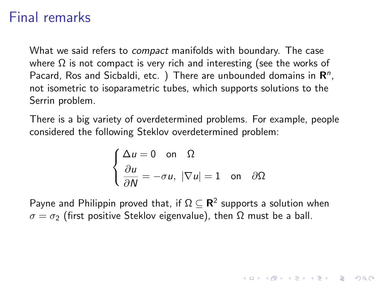### Final remarks

What we said refers to *compact* manifolds with boundary. The case where  $\Omega$  is not compact is very rich and interesting (see the works of Pacard, Ros and Sicbaldi, etc. ) There are unbounded domains in  $\mathbf{R}^n$ , not isometric to isoparametric tubes, which supports solutions to the Serrin problem.

There is a big variety of overdetermined problems. For example, people considered the following Steklov overdetermined problem:

$$
\begin{cases} \Delta u = 0 \quad \text{on} \quad \Omega \\ \frac{\partial u}{\partial N} = -\sigma u, \ |\nabla u| = 1 \quad \text{on} \quad \partial \Omega \end{cases}
$$

**KORKAR KERKER E VOOR** 

Payne and Philippin proved that, if  $\Omega\subseteq{\mathbf R}^2$  supports a solution when  $\sigma = \sigma_2$  (first positive Steklov eigenvalue), then  $\Omega$  must be a ball.